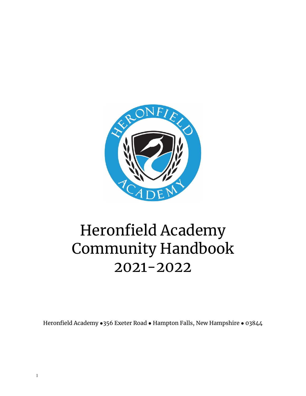

# Heronfield Academy Community Handbook 2021-2022

Heronfield Academy • 356 Exeter Road • Hampton Falls, New Hampshire • 03844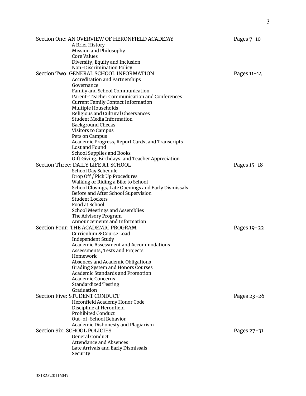| Section One: AN OVERVIEW OF HERONFIELD ACADEMY                | Pages $7-10$  |
|---------------------------------------------------------------|---------------|
| A Brief History<br>Mission and Philosophy                     |               |
| Core Values                                                   |               |
| Diversity, Equity and Inclusion                               |               |
| Non-Discrimination Policy                                     |               |
| Section Two: GENERAL SCHOOL INFORMATION                       | Pages $11-14$ |
| <b>Accreditation and Partnerships</b>                         |               |
| Governance                                                    |               |
| Family and School Communication                               |               |
| Parent-Teacher Communication and Conferences                  |               |
| <b>Current Family Contact Information</b>                     |               |
| Multiple Households                                           |               |
| Religious and Cultural Observances                            |               |
| <b>Student Media Information</b>                              |               |
| <b>Background Checks</b>                                      |               |
| <b>Visitors to Campus</b><br>Pets on Campus                   |               |
| Academic Progress, Report Cards, and Transcripts              |               |
| Lost and Found                                                |               |
| School Supplies and Books                                     |               |
| Gift Giving, Birthdays, and Teacher Appreciation              |               |
| Section Three: DAILY LIFE AT SCHOOL                           | Pages 15-18   |
| School Day Schedule                                           |               |
| Drop Off / Pick Up Procedures                                 |               |
| Walking or Riding a Bike to School                            |               |
| School Closings, Late Openings and Early Dismissals           |               |
| Before and After School Supervision                           |               |
| <b>Student Lockers</b>                                        |               |
| Food at School                                                |               |
| <b>School Meetings and Assemblies</b><br>The Advisory Program |               |
| Announcements and Information                                 |               |
| Section Four: THE ACADEMIC PROGRAM                            | Pages 19-22   |
| Curriculum & Course Load                                      |               |
| Independent Study                                             |               |
| Academic Assessment and Accommodations                        |               |
| Assessments, Tests and Projects                               |               |
| Homework                                                      |               |
| Absences and Academic Obligations                             |               |
| Grading System and Honors Courses                             |               |
| <b>Academic Standards and Promotion</b>                       |               |
| <b>Academic Concerns</b>                                      |               |
| <b>Standardized Testing</b><br>Graduation                     |               |
| Section Five: STUDENT CONDUCT                                 | Pages 23-26   |
| Heronfield Academy Honor Code                                 |               |
| Discipline at Heronfield                                      |               |
| <b>Prohibited Conduct</b>                                     |               |
| Out-of-School Behavior                                        |               |
| Academic Dishonesty and Plagiarism                            |               |
| Section Six: SCHOOL POLICIES                                  | Pages 27-31   |
| General Conduct                                               |               |
| <b>Attendance and Absences</b>                                |               |
| Late Arrivals and Early Dismissals                            |               |
| Security                                                      |               |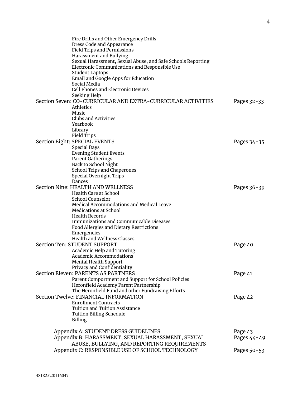| Fire Drills and Other Emergency Drills                       |             |
|--------------------------------------------------------------|-------------|
| Dress Code and Appearance                                    |             |
| <b>Field Trips and Permissions</b>                           |             |
| Harassment and Bullying                                      |             |
| Sexual Harassment, Sexual Abuse, and Safe Schools Reporting  |             |
| Electronic Communications and Responsible Use                |             |
| <b>Student Laptops</b>                                       |             |
| Email and Google Apps for Education                          |             |
| Social Media                                                 |             |
| <b>Cell Phones and Electronic Devices</b>                    |             |
|                                                              |             |
| Seeking Help                                                 |             |
| Section Seven: CO-CURRICULAR AND EXTRA-CURRICULAR ACTIVITIES | Pages 32-33 |
| <b>Athletics</b>                                             |             |
| Music                                                        |             |
| Clubs and Activities                                         |             |
| Yearbook                                                     |             |
| Library                                                      |             |
| Field Trips                                                  |             |
| Section Eight: SPECIAL EVENTS                                | Pages 34-35 |
| <b>Special Days</b>                                          |             |
| <b>Evening Student Events</b>                                |             |
| <b>Parent Gatherings</b>                                     |             |
| Back to School Night                                         |             |
| School Trips and Chaperones                                  |             |
| Special Overnight Trips                                      |             |
| Dances                                                       |             |
| Section Nine: HEALTH AND WELLNESS                            | Pages 36-39 |
| Health Care at School                                        |             |
| School Counselor                                             |             |
| Medical Accommodations and Medical Leave                     |             |
| <b>Medications at School</b>                                 |             |
| <b>Health Records</b>                                        |             |
| <b>Immunizations and Communicable Diseases</b>               |             |
| Food Allergies and Dietary Restrictions                      |             |
| Emergencies                                                  |             |
| <b>Health and Wellness Classes</b>                           |             |
| Section Ten: STUDENT SUPPORT                                 |             |
|                                                              | Page 40     |
| Academic Help and Tutoring                                   |             |
| Academic Accommodations                                      |             |
| Mental Health Support                                        |             |
| Privacy and Confidentiality                                  |             |
| <b>Section Eleven: PARENTS AS PARTNERS</b>                   | Page 41     |
| Parent Comportment and Support for School Policies           |             |
| Heronfield Academy Parent Partnership                        |             |
| The Heronfield Fund and other Fundraising Efforts            |             |
| Section Twelve: FINANCIAL INFORMATION                        | Page 42     |
| <b>Enrollment Contracts</b>                                  |             |
| <b>Tuition and Tuition Assistance</b>                        |             |
| <b>Tuition Billing Schedule</b>                              |             |
| <b>Billing</b>                                               |             |
|                                                              |             |
| Appendix A: STUDENT DRESS GUIDELINES                         | Page 43     |
| Appendix B: HARASSMENT, SEXUAL HARASSMENT, SEXUAL            | Pages 44-49 |
| ABUSE, BULLYING, AND REPORTING REQUIREMENTS                  |             |
| Appendix C: RESPONSIBLE USE OF SCHOOL TECHNOLOGY             | Pages 50-53 |
|                                                              |             |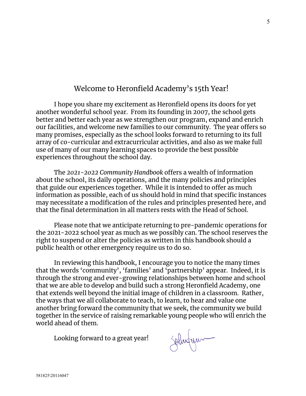# Welcome to Heronfield Academy's 15th Year!

I hope you share my excitement as Heronfield opens its doors for yet another wonderful school year. From its founding in 2007, the school gets better and better each year as we strengthen our program, expand and enrich our facilities, and welcome new families to our community. The year offers so many promises, especially as the school looks forward to returning to its full array of co-curricular and extracurricular activities, and also as we make full use of many of our many learning spaces to provide the best possible experiences throughout the school day.

The *2021-2022 Community Handbook* offers a wealth of information about the school, its daily operations, and the many policies and principles that guide our experiences together. While it is intended to offer as much information as possible, each of us should hold in mind that specific instances may necessitate a modification of the rules and principles presented here, and that the final determination in all matters rests with the Head of School.

Please note that we anticipate returning to pre-pandemic operations for the 2021-2022 school year as much as we possibly can. The school reserves the right to suspend or alter the policies as written in this handbook should a public health or other emergency require us to do so.

In reviewing this handbook, I encourage you to notice the many times that the words 'community', 'families' and 'partnership' appear. Indeed, it is through the strong and ever-growing relationships between home and school that we are able to develop and build such a strong Heronfield Academy, one that extends well beyond the initial image of children in a classroom. Rather, the ways that we all collaborate to teach, to learn, to hear and value one another bring forward the community that we seek, the community we build together in the service of raising remarkable young people who will enrich the world ahead of them.

Looking forward to a great year!

Solutur

5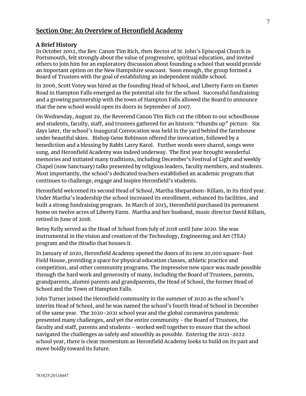## **Section One: An Overview of Heronfield Academy**

#### **A Brief History**

In October 2002, the Rev. Canon Tim Rich, then Rector of St. John's Episcopal Church in Portsmouth, felt strongly about the value of progressive, spiritual education, and invited others to join him for an exploratory discussion about founding a school that would provide an important option on the New Hampshire seacoast. Soon enough, the group formed a Board of Trustees with the goal of establishing an independent middle school.

In 2006, Scott Votey was hired as the founding Head of School, and Liberty Farm on Exeter Road in Hampton Falls emerged as the potential site for the school. Successful fundraising and a growing partnership with the town of Hampton Falls allowed the Board to announce that the new school would open its doors in September of 2007.

On Wednesday, August 29, the Reverend Canon Tim Rich cut the ribbon to our schoolhouse and students, faculty, staff, and trustees gathered for an historic "thumbs up" picture. Six days later, the school's inaugural Convocation was held in the yard behind the farmhouse under beautiful skies. Bishop Gene Robinson offered the invocation, followed by a benediction and a blessing by Rabbi Larry Karol. Further words were shared, songs were sung, and Heronfield Academy was indeed underway. The first year brought wonderful memories and initiated many traditions, including December's Festival of Light and weekly Chapel (now Sanctuary) talks presented by religious leaders, faculty members, and students. Most importantly, the school's dedicated teachers established an academic program that continues to challenge, engage and inspire Heronfield's students.

Heronfield welcomed its second Head of School, Martha Shepardson-Killam, in its third year. Under Martha's leadership the school increased its enrollment, enhanced its facilities, and built a strong fundraising program. In March of 2015, Heronfield purchased its permanent home on twelve acres of Liberty Farm. Martha and her husband, music director David Killam, retired in June of 2018.

Betsy Kelly served as the Head of School from July of 2018 until June 2020. She was instrumental in the vision and creation of the Technology, Engineering and Art (TEA) program and the iStudio that houses it.

In January of 2020, Heronfield Academy opened the doors of its new 20,000 square-foot Field House, providing a space for physical education classes, athletic practice and competition, and other community programs. The impressive new space was made possible through the hard work and generosity of many, including the Board of Trustees, parents, grandparents, alumni parents and grandparents, the Head of School, the former Head of School and the Town of Hampton Falls.

John Turner joined the Heronfield community in the summer of 2020 as the school's interim Head of School, and he was named the school's fourth Head of School in December of the same year. The 2020-2021 school year and the global coronavirus pandemic presented many challenges, and yet the entire community - the Board of Trustees, the faculty and staff, parents and students - worked well together to ensure that the school navigated the challenges as safely and smoothly as possible. Entering the 2021-2022 school year, there is clear momentum as Heronfield Academy looks to build on its past and move boldly toward its future.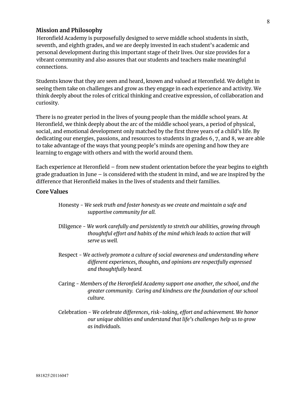#### **Mission and Philosophy**

Heronfield Academy is purposefully designed to serve middle school students in sixth, seventh, and eighth grades, and we are deeply invested in each student's academic and personal development during this important stage of their lives. Our size provides for a vibrant community and also assures that our students and teachers make meaningful connections.

Students know that they are seen and heard, known and valued at Heronfield. We delight in seeing them take on challenges and grow as they engage in each experience and activity. We think deeply about the roles of critical thinking and creative expression, of collaboration and curiosity.

There is no greater period in the lives of young people than the middle school years. At Heronfield, we think deeply about the arc of the middle school years, a period of physical, social, and emotional development only matched by the first three years of a child's life. By dedicating our energies, passions, and resources to students in grades 6, 7, and 8, we are able to take advantage of the ways that young people's minds are opening and how they are learning to engage with others and with the world around them.

Each experience at Heronfield – from new student orientation before the year begins to eighth grade graduation in June – is considered with the student in mind, and we are inspired by the difference that Heronfield makes in the lives of students and their families.

#### **Core Values**

- Honesty *We seek truth and foster honesty as we create and maintain a safe and supportive community for all.*
- Diligence *We work carefully and persistently to stretch our abilities, growing through thoughtful effort and habits of the mind which leads to action that will serve us well.*
- Respect *We actively promote a culture of social awareness and understanding where different experiences, thoughts, and opinions are respectfully expressed and thoughtfully heard.*
- Caring *Members of the Heronfield Academy support one another, the school, and the greater community. Caring and kindness are the foundation of our school culture.*
- Celebration *We celebrate differences, risk-taking, effort and achievement. We honor our unique abilities and understand that life's challenges help us to grow as individuals.*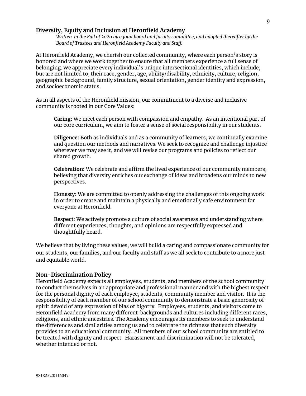#### **Diversity, Equity and Inclusion at Heronfield Academy**

*Written in the Fall of 2020 by a joint board and faculty committee, and adopted thereafter by the Board of Trustees and Heronfield Academy Faculty and Staff.*

At Heronfield Academy, we cherish our collected community, where each person's story is honored and where we work together to ensure that all members experience a full sense of belonging. We appreciate every individual's unique intersectional identities, which include, but are not limited to, their race, gender, age, ability/disability, ethnicity, culture, religion, geographic background, family structure, sexual orientation, gender identity and expression, and socioeconomic status.

As in all aspects of the Heronfield mission, our commitment to a diverse and inclusive community is rooted in our Core Values:

**Caring:** We meet each person with compassion and empathy. As an intentional part of our core curriculum, we aim to foster a sense of social responsibility in our students.

**Diligence:** Both as individuals and as a community of learners, we continually examine and question our methods and narratives. We seek to recognize and challenge injustice wherever we may see it, and we will revise our programs and policies to reflect our shared growth.

**Celebration:** We celebrate and affirm the lived experience of our community members, believing that diversity enriches our exchange of ideas and broadens our minds to new perspectives.

**Honesty**: We are committed to openly addressing the challenges of this ongoing work in order to create and maintain a physically and emotionally safe environment for everyone at Heronfield.

**Respect**: We actively promote a culture of social awareness and understanding where different experiences, thoughts, and opinions are respectfully expressed and thoughtfully heard.

We believe that by living these values, we will build a caring and compassionate community for our students, our families, and our faculty and staff as we all seek to contribute to a more just and equitable world.

#### **Non-Discrimination Policy**

Heronfield Academy expects all employees, students, and members of the school community to conduct themselves in an appropriate and professional manner and with the highest respect for the personal dignity of each employee, students, community member and visitor. It is the responsibility of each member of our school community to demonstrate a basic generosity of spirit devoid of any expression of bias or bigotry. Employees, students, and visitors come to Heronfield Academy from many different backgrounds and cultures including different races, religions, and ethnic ancestries. The Academy encourages its members to seek to understand the differences and similarities among us and to celebrate the richness that such diversity provides to an educational community. All members of our school community are entitled to be treated with dignity and respect. Harassment and discrimination will not be tolerated, whether intended or not.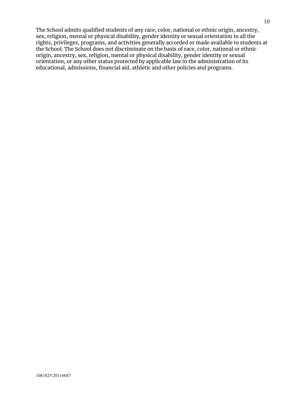The School admits qualified students of any race, color, national or ethnic origin, ancestry, sex, religion, mental or physical disability, gender identity or sexual orientation to all the rights, privileges, programs, and activities generally accorded or made available to students at the School. The School does not discriminate on the basis of race, color, national or ethnic origin, ancestry, sex, religion, mental or physical disability, gender identity or sexual orientation, or any other status protected by applicable law in the administration of its educational, admissions, financial aid, athletic and other policies and programs.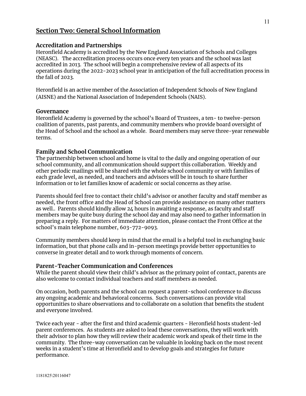## **Section Two: General School Information**

#### **Accreditation and Partnerships**

Heronfield Academy is accredited by the New England Association of Schools and Colleges (NEASC). The accreditation process occurs once every ten years and the school was last accredited in 2013. The school will begin a comprehensive review of all aspects of its operations during the 2022-2023 school year in anticipation of the full accreditation process in the fall of 2023.

Heronfield is an active member of the Association of Independent Schools of New England (AISNE) and the National Association of Independent Schools (NAIS).

#### **Governance**

Heronfield Academy is governed by the school's Board of Trustees, a ten- to twelve-person coalition of parents, past parents, and community members who provide board oversight of the Head of School and the school as a whole. Board members may serve three-year renewable terms.

#### **Family and School Communication**

The partnership between school and home is vital to the daily and ongoing operation of our school community, and all communication should support this collaboration. Weekly and other periodic mailings will be shared with the whole school community or with families of each grade level, as needed, and teachers and advisors will be in touch to share further information or to let families know of academic or social concerns as they arise.

Parents should feel free to contact their child's advisor or another faculty and staff member as needed, the front office and the Head of School can provide assistance on many other matters as well.. Parents should kindly allow 24 hours in awaiting a response, as faculty and staff members may be quite busy during the school day and may also need to gather information in preparing a reply. For matters of immediate attention, please contact the Front Office at the school's main telephone number, 603-772-9093.

Community members should keep in mind that the email is a helpful tool in exchanging basic information, but that phone calls and in-person meetings provide better opportunities to converse in greater detail and to work through moments of concern.

#### **Parent-Teacher Communication and Conferences**

While the parent should view their child's advisor as the primary point of contact, parents are also welcome to contact individual teachers and staff members as needed.

On occasion, both parents and the school can request a parent-school conference to discuss any ongoing academic and behavioral concerns. Such conversations can provide vital opportunities to share observations and to collaborate on a solution that benefits the student and everyone involved.

Twice each year - after the first and third academic quarters - Heronfield hosts student-led parent conferences. As students are asked to lead these conversations, they will work with their advisor to plan how they will review their academic work and speak of their time in the community. The three-way conversation can be valuable in looking back on the most recent weeks in a student's time at Heronfield and to develop goals and strategies for future performance.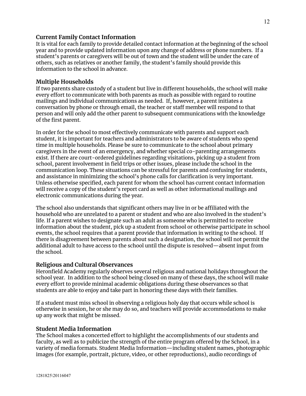#### **Current Family Contact Information**

It is vital for each family to provide detailed contact information at the beginning of the school year and to provide updated information upon any change of address or phone numbers. If a student's parents or caregivers will be out of town and the student will be under the care of others, such as relatives or another family, the student's family should provide this information to the school in advance.

#### **Multiple Households**

If two parents share custody of a student but live in different households, the school will make every effort to communicate with both parents as much as possible with regard to routine mailings and individual communications as needed. If, however, a parent initiates a conversation by phone or through email, the teacher or staff member will respond to that person and will only add the other parent to subsequent communications with the knowledge of the first parent.

In order for the school to most effectively communicate with parents and support each student, it is important for teachers and administrators to be aware of students who spend time in multiple households. Please be sure to communicate to the school about primary caregivers in the event of an emergency, and whether special co-parenting arrangements exist. If there are court-ordered guidelines regarding visitations, picking up a student from school, parent involvement in field trips or other issues, please include the school in the communication loop. These situations can be stressful for parents and confusing for students, and assistance in minimizing the school's phone calls for clarification is very important. Unless otherwise specified, each parent for whom the school has current contact information will receive a copy of the student's report card as well as other informational mailings and electronic communications during the year.

The school also understands that significant others may live in or be affiliated with the household who are unrelated to a parent or student and who are also involved in the student's life. If a parent wishes to designate such an adult as someone who is permitted to receive information about the student, pick up a student from school or otherwise participate in school events, the school requires that a parent provide that information in writing to the school. If there is disagreement between parents about such a designation, the school will not permit the additional adult to have access to the school until the dispute is resolved—absent input from the school.

#### **Religious and Cultural Observances**

Heronfield Academy regularly observes several religious and national holidays throughout the school year. In addition to the school being closed on many of these days, the school will make every effort to provide minimal academic obligations during these observances so that students are able to enjoy and take part in honoring these days with their families.

If a student must miss school in observing a religious holy day that occurs while school is otherwise in session, he or she may do so, and teachers will provide accommodations to make up any work that might be missed.

#### **Student Media Information**

The School makes a concerted effort to highlight the accomplishments of our students and faculty, as well as to publicize the strength of the entire program offered by the School, in a variety of media formats. Student Media Information—including student names, photographic images (for example, portrait, picture, video, or other reproductions), audio recordings of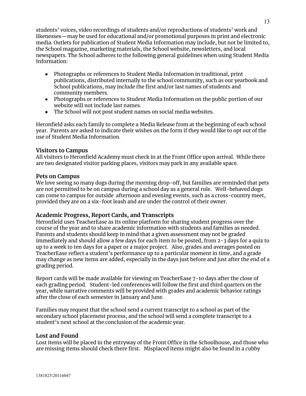students' voices, video recordings of students and/or reproductions of students' work and likenesses—may be used for educational and/or promotional purposes in print and electronic media. Outlets for publication of Student Media Information may include, but not be limited to, the School magazine, marketing materials, the School website, newsletters, and local newspapers. The School adheres to the following general guidelines when using Student Media Information:

- Photographs or references to Student Media Information in traditional, print publications, distributed internally to the school community, such as our yearbook and School publications, may include the first and/or last names of students and community members.
- Photographs or references to Student Media Information on the public portion of our website will not include last names.
- The School will not post student names on social media websites.

Heronfield asks each family to complete a Media Release from at the beginning of each school year. Parents are asked to indicate their wishes on the form if they would like to opt out of the use of Student Media Information.

## **Visitors to Campus**

All visitors to Heronfield Academy must check in at the Front Office upon arrival. While there are two designated visitor parking places, visitors may park in any available space.

## **Pets on Campus**

We love seeing so many dogs during the morning drop-off, but families are reminded that pets are not permitted to be on campus during a school day as a general rule. Well-behaved dogs can come to campus for outside afternoon and evening events, such as a cross-country meet, provided they are on a six-foot leash and are under the control of their owner.

## **Academic Progress, Report Cards, and Transcripts**

Heronfield uses TeacherEase as its online platform for sharing student progress over the course of the year and to share academic information with students and families as needed. Parents and students should keep in mind that a given assessment may not be graded immediately and should allow a few days for each item to be posted, from 2-3 days for a quiz to up to a week to ten days for a paper or a major project. Also, grades and averages posted on TeacherEase reflect a student's performance up to a particular moment in time, and a grade may change as new items are added, especially in the days just before and just after the end of a grading period.

Report cards will be made available for viewing on TeacherEase 7-10 days after the close of each grading period. Student-led conferences will follow the first and third quarters on the year, while narrative comments will be provided with grades and academic behavior ratings after the close of each semester in January and June.

Families may request that the school send a current transcript to a school as part of the secondary school placement process, and the school will send a complete transcript to a student's next school at the conclusion of the academic year.

## **Lost and Found**

Lost items will be placed in the entryway of the Front Office in the Schoolhouse, and those who are missing items should check there first. Misplaced items might also be found in a cubby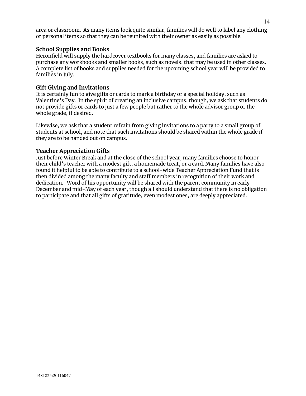area or classroom. As many items look quite similar, families will do well to label any clothing or personal items so that they can be reunited with their owner as easily as possible.

#### **School Supplies and Books**

Heronfield will supply the hardcover textbooks for many classes, and families are asked to purchase any workbooks and smaller books, such as novels, that may be used in other classes. A complete list of books and supplies needed for the upcoming school year will be provided to families in July.

## **Gift Giving and Invitations**

It is certainly fun to give gifts or cards to mark a birthday or a special holiday, such as Valentine's Day. In the spirit of creating an inclusive campus, though, we ask that students do not provide gifts or cards to just a few people but rather to the whole advisor group or the whole grade, if desired.

Likewise, we ask that a student refrain from giving invitations to a party to a small group of students at school, and note that such invitations should be shared within the whole grade if they are to be handed out on campus.

#### **Teacher Appreciation Gifts**

Just before Winter Break and at the close of the school year, many families choose to honor their child's teacher with a modest gift, a homemade treat, or a card. Many families have also found it helpful to be able to contribute to a school-wide Teacher Appreciation Fund that is then divided among the many faculty and staff members in recognition of their work and dedication. Word of his opportunity will be shared with the parent community in early December and mid-May of each year, though all should understand that there is no obligation to participate and that all gifts of gratitude, even modest ones, are deeply appreciated.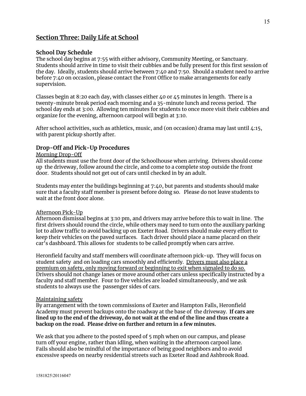## **Section Three: Daily Life at School**

#### **School Day Schedule**

The school day begins at 7:55 with either advisory, Community Meeting, or Sanctuary. Students should arrive in time to visit their cubbies and be fully present for this first session of the day. Ideally, students should arrive between 7:40 and 7:50. Should a student need to arrive before 7:40 on occasion, please contact the Front Office to make arrangements for early supervision.

Classes begin at 8:20 each day, with classes either 40 or 45 minutes in length. There is a twenty-minute break period each morning and a 35-minute lunch and recess period. The school day ends at 3:00. Allowing ten minutes for students to once more visit their cubbies and organize for the evening, afternoon carpool will begin at 3:10.

After school activities, such as athletics, music, and (on occasion) drama may last until 4:15, with parent pickup shortly after.

#### **Drop-Off and Pick-Up Procedures**

#### Morning Drop-Off

All students must use the front door of the Schoolhouse when arriving. Drivers should come up the driveway, follow around the circle, and come to a complete stop outside the front door. Students should not get out of cars until checked in by an adult.

Students may enter the buildings beginning at 7:40, but parents and students should make sure that a faculty staff member is present before doing so. Please do not leave students to wait at the front door alone.

#### Afternoon Pick-Up

Afternoon dismissal begins at 3:10 pm, and drivers may arrive before this to wait in line. The first drivers should round the circle, while others may need to turn onto the auxiliary parking lot to allow traffic to avoid backing up on Exeter Road. Drivers should make every effort to keep their vehicles on the paved surfaces. Each driver should place a name placard on their car's dashboard. This allows for students to be called promptly when cars arrive.

Heronfield faculty and staff members will coordinate afternoon pick-up. They will focus on student safety and on loading cars smoothly and efficiently. Drivers must also place a premium on safety, only moving forward or beginning to exit when signaled to do so. Drivers should not change lanes or move around other cars unless specifically instructed by a faculty and staff member. Four to five vehicles are loaded simultaneously, and we ask students to always use the passenger sides of cars.

#### Maintaining safety

By arrangement with the town commissions of Exeter and Hampton Falls, Heronfield Academy must prevent backups onto the roadway at the base of the driveway. **If cars are** lined up to the end of the driveway, do not wait at the end of the line and thus create a **backup on the road. Please drive on further and return in a few minutes.**

We ask that you adhere to the posted speed of 5 mph when on our campus, and please turn off your engine, rather than idling, when waiting in the afternoon carpool lane. Fails should also be mindful of the importance of being good neighbors and to avoid excessive speeds on nearby residential streets such as Exeter Road and Ashbrook Road.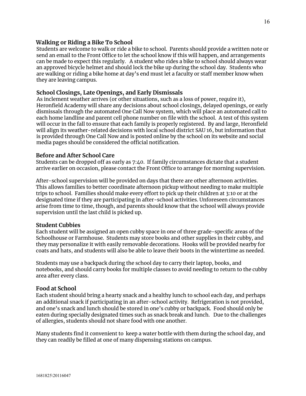#### **Walking or Riding a Bike To School**

Students are welcome to walk or ride a bike to school. Parents should provide a written note or send an email to the Front Office to let the school know if this will happen, and arrangements can be made to expect this regularly. A student who rides a bike to school should always wear an approved bicycle helmet and should lock the bike up during the school day. Students who are walking or riding a bike home at day's end must let a faculty or staff member know when they are leaving campus.

#### **School Closings, Late Openings, and Early Dismissals**

As inclement weather arrives (or other situations, such as a loss of power, require it), Heronfield Academy will share any decisions about school closings, delayed openings, or early dismissals through the automated One Call Now system, which will place an automated call to each home landline and parent cell phone number on file with the school. A test of this system will occur in the fall to ensure that each family is properly registered. By and large, Heronfield will align its weather-related decisions with local school district SAU 16, but information that is provided through One Call Now and is posted online by the school on its website and social media pages should be considered the official notification.

#### **Before and After School Care**

Students can be dropped off as early as 7:40. If family circumstances dictate that a student arrive earlier on occasion, please contact the Front Office to arrange for morning supervision.

After-school supervision will be provided on days that there are other afternoon activities. This allows families to better coordinate afternoon pickup without needing to make multiple trips to school. Families should make every effort to pick up their children at 3:10 or at the designated time if they are participating in after-school activities. Unforeseen circumstances arise from time to time, though, and parents should know that the school will always provide supervision until the last child is picked up.

#### **Student Cubbies**

Each student will be assigned an open cubby space in one of three grade-specific areas of the Schoolhouse or Farmhouse. Students may store books and other supplies in their cubby, and they may personalize it with easily removable decorations. Hooks will be provided nearby for coats and hats, and students will also be able to leave their boots in the wintertime as needed.

Students may use a backpack during the school day to carry their laptop, books, and notebooks, and should carry books for multiple classes to avoid needing to return to the cubby area after every class.

#### **Food at School**

Each student should bring a hearty snack and a healthy lunch to school each day, and perhaps an additional snack if participating in an after-school activity. Refrigeration is not provided, and one's snack and lunch should be stored in one's cubby or backpack. Food should only be eaten during specially designated times such as snack break and lunch. Due to the challenges of allergies, students should not share food with one another.

Many students find it convenient to keep a water bottle with them during the school day, and they can readily be filled at one of many dispensing stations on campus.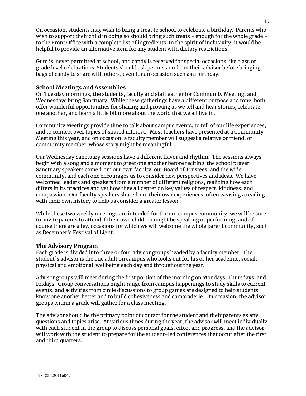On occasion, students may wish to bring a treat to school to celebrate a birthday. Parents who wish to support their child in doing so should bring such treats - enough for the whole grade to the Front Office with a complete list of ingredients. In the spirit of inclusivity, it would be helpful to provide an alternative item for any student with dietary restrictions.

Gum is never permitted at school, and candy is reserved for special occasions like class or grade level celebrations. Students should ask permission from their advisor before bringing bags of candy to share with others, even for an occasion such as a birthday.

## **School Meetings and Assemblies**

On Tuesday mornings, the students, faculty and staff gather for Community Meeting, and Wednesdays bring Sanctuary. While these gatherings have a different purpose and tone, both offer wonderful opportunities for sharing and growing as we tell and hear stories, celebrate one another, and learn a little bit more about the world that we all live in.

Community Meetings provide time to talk about campus events, to tell of our life experiences, and to connect over topics of shared interest. Most teachers have presented at a Community Meeting this year, and on occasion, a faculty member will suggest a relative or friend, or community member whose story might be meaningful.

Our Wednesday Sanctuary sessions have a different flavor and rhythm. The sessions always begin with a song and a moment to greet one another before reciting the school prayer. Sanctuary speakers come from our own faculty, our Board of Trustees, and the wider community, and each one encourages us to consider new perspectives and ideas. We have welcomed leaders and speakers from a number of different religions, realizing how each differs in its practices and yet how they all center on key values of respect, kindness, and compassion. Our faculty speakers share from their own experiences, often weaving a reading with their own history to help us consider a greater lesson.

While these two weekly meetings are intended for the on-campus community, we will be sure to invite parents to attend if their own children might be speaking or performing, and of course there are a few occasions for which we will welcome the whole parent community, such as December's Festival of Light.

#### **The Advisory Program**

Each grade is divided into three or four advisor groups headed by a faculty member. The student's advisor is the one adult on campus who looks out for his or her academic, social, physical and emotional wellbeing each day and throughout the year.

Advisor groups will meet during the first portion of the morning on Mondays, Thursdays, and Fridays. Group conversations might range from campus happenings to study skills to current events, and activities from circle discussions to group games are designed to help students know one another better and to build cohesiveness and camaraderie. On occasion, the advisor groups within a grade will gather for a class meeting.

The advisor should be the primary point of contact for the student and their parents as any questions and topics arise. At various times during the year, the advisor will meet individually with each student in the group to discuss personal goals, effort and progress, and the advisor will work with the student to prepare for the student-led conferences that occur after the first and third quarters.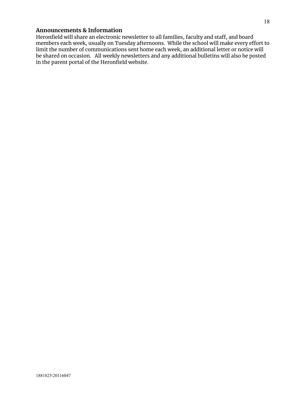#### **Announcements & Information**

Heronfield will share an electronic newsletter to all families, faculty and staff, and board members each week, usually on Tuesday afternoons. While the school will make every effort to limit the number of communications sent home each week, an additional letter or notice will be shared on occasion. All weekly newsletters and any additional bulletins will also be posted in the parent portal of the Heronfield website.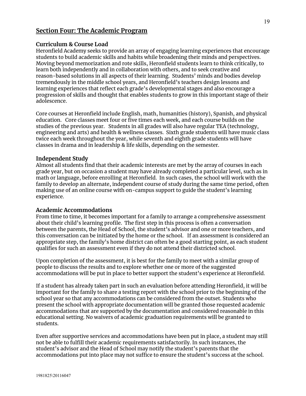## **Section Four: The Academic Program**

#### **Curriculum & Course Load**

Heronfield Academy seeks to provide an array of engaging learning experiences that encourage students to build academic skills and habits while broadening their minds and perspectives. Moving beyond memorization and rote skills, Heronfield students learn to think critically, to learn both independently and in collaboration with others, and to seek creative and reason-based solutions in all aspects of their learning. Students' minds and bodies develop tremendously in the middle school years, and Heronfield's teachers design lessons and learning experiences that reflect each grade's developmental stages and also encourage a progression of skills and thought that enables students to grow in this important stage of their adolescence.

Core courses at Heronfield include English, math, humanities (history), Spanish, and physical education. Core classes meet four or five times each week, and each course builds on the studies of the previous year. Students in all grades will also have regular TEA (technology, engineering and arts) and health & wellness classes. Sixth grade students will have music class twice each week throughout the year, while seventh and eighth grade students will have classes in drama and in leadership & life skills, depending on the semester.

#### **Independent Study**

Almost all students find that their academic interests are met by the array of courses in each grade year, but on occasion a student may have already completed a particular level, such as in math or language, before enrolling at Heronfield. In such cases, the school will work with the family to develop an alternate, independent course of study during the same time period, often making use of an online course with on-campus support to guide the student's learning experience.

#### **Academic Accommodations**

From time to time, it becomes important for a family to arrange a comprehensive assessment about their child's learning profile. The first step in this process is often a conversation between the parents, the Head of School, the student's advisor and one or more teachers, and this conversation can be initiated by the home or the school. If an assessment is considered an appropriate step, the family's home district can often be a good starting point, as each student qualifies for such an assessment even if they do not attend their districted school.

Upon completion of the assessment, it is best for the family to meet with a similar group of people to discuss the results and to explore whether one or more of the suggested accommodations will be put in place to better support the student's experience at Heronfield.

If a student has already taken part in such an evaluation before attending Heronfield, it will be important for the family to share a testing report with the school prior to the beginning of the school year so that any accommodations can be considered from the outset. Students who present the school with appropriate documentation will be granted those requested academic accommodations that are supported by the documentation and considered reasonable in this educational setting. No waivers of academic graduation requirements will be granted to students.

Even after supportive services and accommodations have been put in place, a student may still not be able to fulfill their academic requirements satisfactorily. In such instances, the student's advisor and the Head of School may notify the student's parents that the accommodations put into place may not suffice to ensure the student's success at the school.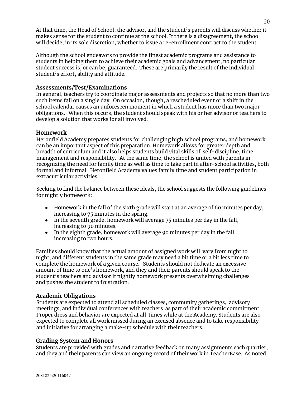At that time, the Head of School, the advisor, and the student's parents will discuss whether it makes sense for the student to continue at the school. If there is a disagreement, the school will decide, in its sole discretion, whether to issue a re-enrollment contract to the student.

Although the school endeavors to provide the finest academic programs and assistance to students in helping them to achieve their academic goals and advancement, no particular student success is, or can be, guaranteed. These are primarily the result of the individual student's effort, ability and attitude.

#### **Assessments/Test/Examinations**

In general, teachers try to coordinate major assessments and projects so that no more than two such items fall on a single day. On occasion, though, a rescheduled event or a shift in the school calendar causes an unforeseen moment in which a student has more than two major obligations. When this occurs, the student should speak with his or her advisor or teachers to develop a solution that works for all involved.

#### **Homework**

Heronfield Academy prepares students for challenging high school programs, and homework can be an important aspect of this preparation. Homework allows for greater depth and breadth of curriculum and it also helps students build vital skills of self-discipline, time management and responsibility. At the same time, the school is united with parents in recognizing the need for family time as well as time to take part in after-school activities, both formal and informal. Heronfield Academy values family time and student participation in extracurricular activities.

Seeking to find the balance between these ideals, the school suggests the following guidelines for nightly homework:

- Homework in the fall of the sixth grade will start at an average of 60 minutes per day, increasing to 75 minutes in the spring.
- $\bullet$  In the seventh grade, homework will average 75 minutes per day in the fall, increasing to 90 minutes.
- In the eighth grade, homework will average 90 minutes per day in the fall, increasing to two hours.

Families should know that the actual amount of assigned work will vary from night to night, and different students in the same grade may need a bit time or a bit less time to complete the homework of a given course. Students should not dedicate an excessive amount of time to one's homework, and they and their parents should speak to the student's teachers and advisor if nightly homework presents overwhelming challenges and pushes the student to frustration.

#### **Academic Obligations**

Students are expected to attend all scheduled classes, community gatherings, advisory meetings, and individual conferences with teachers as part of their academic commitment. Proper dress and behavior are expected at all times while at the Academy. Students are also expected to complete all work missed during an excused absence and to take responsibility and initiative for arranging a make-up schedule with their teachers.

#### **Grading System and Honors**

Students are provided with grades and narrative feedback on many assignments each quartier, and they and their parents can view an ongoing record of their work in TeacherEase. As noted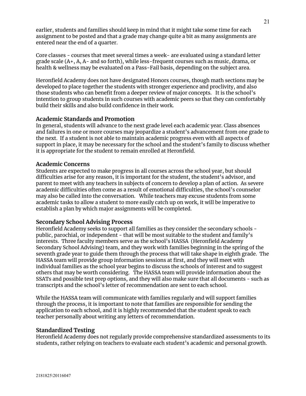earlier, students and families should keep in mind that it might take some time for each assignment to be posted and that a grade may change quite a bit as many assignments are entered near the end of a quarter.

Core classes - courses that meet several times a week- are evaluated using a standard letter grade scale (A+, A, A- and so forth), while less-frequent courses such as music, drama, or health & wellness may be evaluated on a Pass-Fail basis, depending on the subject area.

Heronfield Academy does not have designated Honors courses, though math sections may be developed to place together the students with stronger experience and proclivity, and also those students who can benefit from a deeper review of major concepts. It is the school's intention to group students in such courses with academic peers so that they can comfortably build their skills and also build confidence in their work.

## **Academic Standards and Promotion**

In general, students will advance to the next grade level each academic year. Class absences and failures in one or more courses may jeopardize a student's advancement from one grade to the next. If a student is not able to maintain academic progress even with all aspects of support in place, it may be necessary for the school and the student's family to discuss whether it is appropriate for the student to remain enrolled at Heronfield.

#### **Academic Concerns**

Students are expected to make progress in all courses across the school year, but should difficulties arise for any reason, it is important for the student, the student's advisor, and parent to meet with any teachers in subjects of concern to develop a plan of action. As severe academic difficulties often come as a result of emotional difficulties, the school's counselor may also be called into the conversation. While teachers may excuse students from some academic tasks to allow a student to more easily catch up on work, it will be imperative to establish a plan by which major assignments will be completed.

#### **Secondary School Advising Process**

Heronfield Academy seeks to support all families as they consider the secondary schools public, parochial, or independent - that will be most suitable to the student and family's interests. Three faculty members serve as the school's HASSA (Heronfield Academy Secondary School Advising) team, and they work with families beginning in the spring of the seventh grade year to guide them through the process that will take shape in eighth grade. The HASSA team will provide group information sessions at first, and they will meet with individual families as the school year begins to discuss the schools of interest and to suggest others that may be worth considering. The HASSA team will provide information about the SSATs and possible test prep options, and they will also make sure that all documents - such as transcripts and the school's letter of recommendation are sent to each school.

While the HASSA team will communicate with families regularly and will support families through the process, it is important to note that families are responsible for sending the application to each school, and it is highly recommended that the student speak to each teacher personally about writing any letters of recommendation.

#### **Standardized Testing**

Heronfield Academy does not regularly provide comprehensive standardized assessments to its students, rather relying on teachers to evaluate each student's academic and personal growth.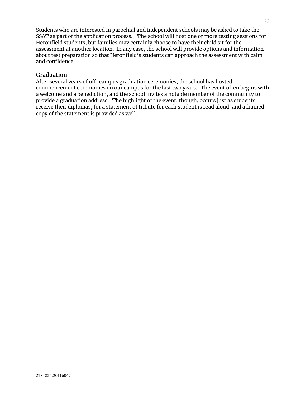Students who are interested in parochial and independent schools may be asked to take the SSAT as part of the application process. The school will host one or more testing sessions for Heronfield students, but families may certainly choose to have their child sit for the assessment at another location. In any case, the school will provide options and information about test preparation so that Heronfield's students can approach the assessment with calm and confidence.

## **Graduation**

After several years of off-campus graduation ceremonies, the school has hosted commencement ceremonies on our campus for the last two years. The event often begins with a welcome and a benediction, and the school invites a notable member of the community to provide a graduation address. The highlight of the event, though, occurs just as students receive their diplomas, for a statement of tribute for each student is read aloud, and a framed copy of the statement is provided as well.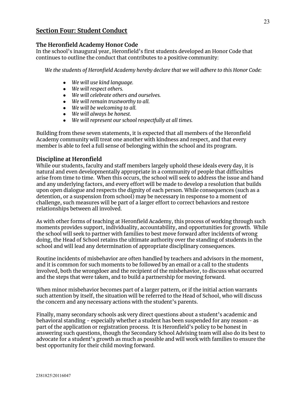## **Section Four: Student Conduct**

#### **The Heronfield Academy Honor Code**

In the school's inaugural year, Heronfield's first students developed an Honor Code that continues to outline the conduct that contributes to a positive community:

*We the students of Heronfield Academy hereby declare that we will adhere to this Honor Code:*

- *● We will use kind language.*
- *● We will respect others.*
- *● We will celebrate others and ourselves.*
- *● We will remain trustworthy to all.*
- *● We will be welcoming to all.*
- *● We will always be honest.*
- *We will represent our school respectfully at all times.*

Building from these seven statements, it is expected that all members of the Heronfield Academy community will treat one another with kindness and respect, and that every member is able to feel a full sense of belonging within the school and its program.

## **Discipline at Heronfield**

While our students, faculty and staff members largely uphold these ideals every day, it is natural and even developmentally appropriate in a community of people that difficulties arise from time to time. When this occurs, the school will seek to address the issue and hand and any underlying factors, and every effort will be made to develop a resolution that builds upon open dialogue and respects the dignity of each person. While consequences (such as a detention, or a suspension from school) may be necessary in response to a moment of challenge, such measures will be part of a larger effort to correct behaviors and restore relationships between all involved.

As with other forms of teaching at Heronfield Academy, this process of working through such moments provides support, individuality, accountability, and opportunities for growth. While the school will seek to partner with families to best move forward after incidents of wrong doing, the Head of School retains the ultimate authority over the standing of students in the school and will lead any determination of appropriate disciplinary consequences.

Routine incidents of misbehavior are often handled by teachers and advisors in the moment, and it is common for such moments to be followed by an email or a call to the students involved, both the wrongdoer and the recipient of the misbehavior, to discuss what occurred and the steps that were taken, and to build a partnership for moving forward.

When minor misbehavior becomes part of a larger pattern, or if the initial action warrants such attention by itself, the situation will be referred to the Head of School, who will discuss the concern and any necessary actions with the student's parents.

Finally, many secondary schools ask very direct questions about a student's academic and behavioral standing - especially whether a student has been suspended for any reason - as part of the application or registration process. It is Heronfield's policy to be honest in answering such questions, though the Secondary School Advising team will also do its best to advocate for a student's growth as much as possible and will work with families to ensure the best opportunity for their child moving forward.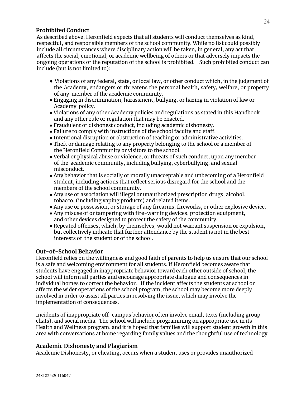## **Prohibited Conduct**

As described above, Heronfield expects that all students will conduct themselves as kind, respectful, and responsible members of the school community. While no list could possibly include all circumstances where disciplinary action will be taken, in general, any act that affects the social, emotional, or academic wellbeing of others or that adversely impacts the ongoing operations or the reputation of the school is prohibited. Such prohibited conduct can include (but is not limited to):

- Violations of any federal, state, or local law, or other conduct which, in the judgment of the Academy, endangers or threatens the personal health, safety, welfare, or property of any member of the academic community.
- Engaging in discrimination, harassment, bullying, or hazing in violation of law or Academy policy.
- Violations of any other Academy policies and regulations as stated in this Handbook and any other rule or regulation that may be enacted.
- Fraudulent or dishonest conduct, including academic dishonesty.
- Failure to comply with instructions of the school faculty and staff.
- Intentional disruption or obstruction of teaching or administrative activities.
- Theft or damage relating to any property belonging to the school or a member of the Heronfield Community or visitors to the school.
- Verbal or physical abuse or violence, or threats of such conduct, upon any member of the academic community, including bullying, cyberbullying, and sexual misconduct.
- Any behavior that is socially or morally unacceptable and unbecoming of a Heronfield student, including actions that reflect serious disregard for the school and the members of the school community.
- Any use or association will illegal or unauthorized prescription drugs, alcohol, tobacco, (including vaping products) and related items.
- Any use or possession, or storage of any firearms, fireworks, or other explosive device.
- Any misuse of or tampering with fire-warning devices, protection equipment, and other devices designed to protect the safety of the community.
- Repeated offenses, which, by themselves, would not warrant suspension or expulsion, but collectively indicate that further attendance by the student is not in the best interests of the student or of the school.

## **Out-of-School Behavior**

Heronfield relies on the willingness and good faith of parents to help us ensure that our school is a safe and welcoming environment for all students. If Heronfield becomes aware that students have engaged in inappropriate behavior toward each other outside of school, the school will inform all parties and encourage appropriate dialogue and consequences in individual homes to correct the behavior. If the incident affects the students at school or affects the wider operations of the school program, the school may become more deeply involved in order to assist all parties in resolving the issue, which may involve the implementation of consequences.

Incidents of inappropriate off-campus behavior often involve email, texts (including group chats), and social media. The school will include programming on appropriate use in its Health and Wellness program, and it is hoped that families will support student growth in this area with conversations at home regarding family values and the thoughtful use of technology.

#### **Academic Dishonesty and Plagiarism**

Academic Dishonesty, or cheating, occurs when a student uses or provides unauthorized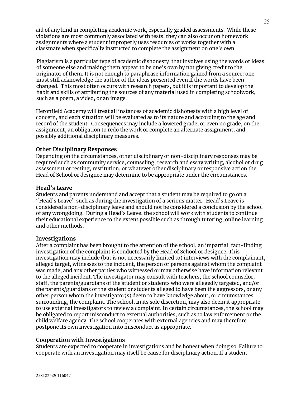aid of any kind in completing academic work, especially graded assessments. While these violations are most commonly associated with tests, they can also occur on homework assignments where a student improperly uses resources or works together with a classmate when specifically instructed to complete the assignment on one's own.

Plagiarism is a particular type of academic dishonesty that involves using the words or ideas of someone else and making them appear to be one's own by not giving credit to the originator of them. It is not enough to paraphrase information gained from a source: one must still acknowledge the author of the ideas presented even if the words have been changed. This most often occurs with research papers, but it is important to develop the habit and skills of attributing the sources of any material used in completing schoolwork, such as a poem, a video, or an image.

Heronfield Academy will treat all instances of academic dishonesty with a high level of concern, and each situation will be evaluated as to its nature and according to the age and record of the student. Consequences may include a lowered grade, or even no grade, on the assignment, an obligation to redo the work or complete an alternate assignment, and possibly additional disciplinary measures.

#### **Other Disciplinary Responses**

Depending on the circumstances, other disciplinary or non-disciplinary responses may be required such as community service, counseling, research and essay writing, alcohol or drug assessment or testing, restitution, or whatever other disciplinary or responsive action the Head of School or designee may determine to be appropriate under the circumstances.

#### **Head's Leave**

Students and parents understand and accept that a student may be required to go on a "Head's Leave" such as during the investigation of a serious matter. Head's Leave is considered a non-disciplinary leave and should not be considered a conclusion by the school of any wrongdoing. During a Head's Leave, the school will work with students to continue their educational experience to the extent possible such as through tutoring, online learning and other methods.

#### **Investigations**

After a complaint has been brought to the attention of the school, an impartial, fact-finding investigation of the complaint is conducted by the Head of School or designee. This investigation may include (but is not necessarily limited to) interviews with the complainant, alleged target, witnesses to the incident, the person or persons against whom the complaint was made, and any other parties who witnessed or may otherwise have information relevant to the alleged incident. The investigator may consult with teachers, the school counselor, staff, the parents/guardians of the student or students who were allegedly targeted, and/or the parents/guardians of the student or students alleged to have been the aggressors, or any other person whom the investigator(s) deem to have knowledge about, or circumstances surrounding, the complaint. The school, in its sole discretion, may also deem it appropriate to use external investigators to review a complaint. In certain circumstances, the school may be obligated to report misconduct to external authorities, such as to law enforcement or the child welfare agency. The school cooperates with external agencies and may therefore postpone its own investigation into misconduct as appropriate.

#### **Cooperation with Investigations**

Students are expected to cooperate in investigations and be honest when doing so. Failure to cooperate with an investigation may itself be cause for disciplinary action. If a student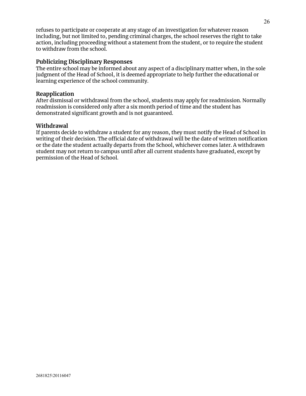refuses to participate or cooperate at any stage of an investigation for whatever reason including, but not limited to, pending criminal charges, the school reserves the right to take action, including proceeding without a statement from the student, or to require the student to withdraw from the school.

#### **Publicizing Disciplinary Responses**

The entire school may be informed about any aspect of a disciplinary matter when, in the sole judgment of the Head of School, it is deemed appropriate to help further the educational or learning experience of the school community.

#### **Reapplication**

After dismissal or withdrawal from the school, students may apply for readmission. Normally readmission is considered only after a six month period of time and the student has demonstrated significant growth and is not guaranteed.

#### **Withdrawal**

If parents decide to withdraw a student for any reason, they must notify the Head of School in writing of their decision. The official date of withdrawal will be the date of written notification or the date the student actually departs from the School, whichever comes later. A withdrawn student may not return to campus until after all current students have graduated, except by permission of the Head of School.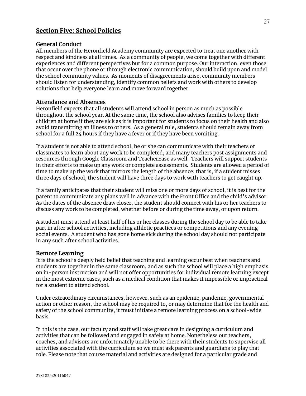## **Section Five: School Policies**

#### **General Conduct**

All members of the Heronfield Academy community are expected to treat one another with respect and kindness at all times. As a community of people, we come together with different experiences and different perspectives but for a common purpose. Our interaction, even those that occur over the phone or through electronic communication, should build upon and model the school community values. As moments of disagreements arise, community members should listen for understanding, identify common beliefs and work with others to develop solutions that help everyone learn and move forward together.

#### **Attendance and Absences**

Heronfield expects that all students will attend school in person as much as possible throughout the school year. At the same time, the school also advises families to keep their children at home if they are sick as it is important for students to focus on their health and also avoid transmitting an illness to others. As a general rule, students should remain away from school for a full 24 hours if they have a fever or if they have been vomiting.

If a student is not able to attend school, he or she can communicate with their teachers or classmates to learn about any work to be completed, and many teachers post assignments and resources through Google Classroom and TeacherEase as well. Teachers will support students in their efforts to make up any work or complete assessments. Students are allowed a period of time to make up the work that mirrors the length of the absence; that is, if a student misses three days of school, the student will have three days to work with teachers to get caught up.

If a family anticipates that their student will miss one or more days of school, it is best for the parent to communicate any plans well in advance with the Front Office and the child's advisor. As the dates of the absence draw closer, the student should connect with his or her teachers to discuss any work to be completed, whether before or during the time away, or upon return.

A student must attend at least half of his or her classes during the school day to be able to take part in after school activities, including athletic practices or competitions and any evening social events. A student who has gone home sick during the school day should not participate in any such after school activities.

#### **Remote Learning**

It is the school's deeply held belief that teaching and learning occur best when teachers and students are together in the same classroom, and as such the school will place a high emphasis on in-person instruction and will not offer opportunities for individual remote learning except in the most extreme cases, such as a medical condition that makes it impossible or impractical for a student to attend school.

Under extraordinary circumstances, however, such as an epidemic, pandemic, governmental action or other reason, the school may be required to, or may determine that for the health and safety of the school community, it must initiate a remote learning process on a school-wide basis.

If this is the case, our faculty and staff will take great care in designing a curriculum and activities that can be followed and engaged in safely at home. Nonetheless our teachers, coaches, and advisors are unfortunately unable to be there with their students to supervise all activities associated with the curriculum so we must ask parents and guardians to play that role. Please note that course material and activities are designed for a particular grade and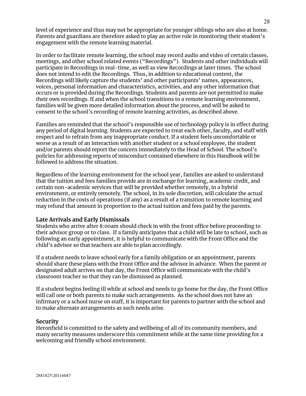level of experience and thus may not be appropriate for younger siblings who are also at home. Parents and guardians are therefore asked to play an active role in monitoring their student's engagement with the remote learning material.

In order to facilitate remote learning, the school may record audio and video of certain classes, meetings, and other school related events ("Recordings"). Students and other individuals will participate in Recordings in real-time, as well as view Recordings at later times. The school does not intend to edit the Recordings. Thus, in addition to educational content, the Recordings will likely capture the students' and other participants' names, appearances, voices, personal information and characteristics, activities, and any other information that occurs or is provided during the Recordings. Students and parents are not permitted to make their own recordings. If and when the school transitions to a remote learning environment, families will be given more detailed information about the process, and will be asked to consent to the school's recording of remote learning activities, as described above.

Families are reminded that the school's responsible use of technology policy is in effect during any period of digital learning. Students are expected to treat each other, faculty, and staff with respect and to refrain from any inappropriate conduct. If a student feels uncomfortable or worse as a result of an interaction with another student or a school employee, the student and/or parents should report the concern immediately to the Head of School. The school's policies for addressing reports of misconduct contained elsewhere in this Handbook will be followed to address the situation.

Regardless of the learning environment for the school year, families are asked to understand that the tuition and fees families provide are in exchange for learning, academic credit, and certain non-academic services that will be provided whether remotely, in a hybrid environment, or entirely remotely. The school, in its sole discretion, will calculate the actual reduction in the costs of operations (if any) as a result of a transition to remote learning and may refund that amount in proportion to the actual tuition and fees paid by the parents.

## **Late Arrivals and Early Dismissals**

Students who arrive after 8:00am should check in with the front office before proceeding to their advisor group or to class. If a family anticipates that a child will be late to school, such as following an early appointment, it is helpful to communicate with the Front Office and the child's advisor so that teachers are able to plan accordingly.

If a student needs to leave school early for a family obligation or an appointment, parents should share these plans with the Front Office and the advisor in advance. When the parent or designated adult arrives on that day, the Front Office will communicate with the child's classroom teacher so that they can be dismissed as planned.

If a student begins feeling ill while at school and needs to go home for the day, the Front Office will call one or both parents to make such arrangements. As the school does not have an infirmary or a school nurse on staff, it is important for parents to partner with the school and to make alternate arrangements as such needs arise.

#### **Security**

Heronfield is committed to the safety and wellbeing of all of its community members, and many security measures underscore this commitment while at the same time providing for a welcoming and friendly school environment.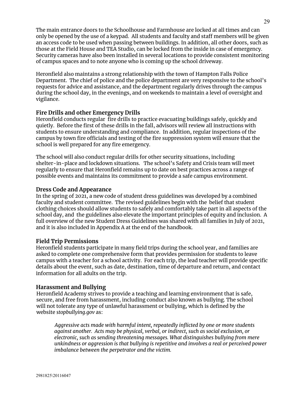The main entrance doors to the Schoolhouse and Farmhouse are locked at all times and can only be opened by the use of a keypad. All students and faculty and staff members will be given an access code to be used when passing between buildings. In addition, all other doors, such as those at the Field House and TEA Studio, can be locked from the inside in case of emergency. Security cameras have also been installed in several locations to provide consistent monitoring of campus spaces and to note anyone who is coming up the school driveway.

Heronfield also maintains a strong relationship with the town of Hampton Falls Police Department. The chief of police and the police department are very responsive to the school's requests for advice and assistance, and the department regularly drives through the campus during the school day, in the evenings, and on weekends to maintain a level of oversight and vigilance.

## **Fire Drills and other Emergency Drills**

Heronfield conducts regular fire drills to practice evacuating buildings safely, quickly and quietly. Before the first of these drills in the fall, advisors will review all instructions with students to ensure understanding and compliance. In addition, regular inspections of the campus by town fire officials and testing of the fire suppression system will ensure that the school is well prepared for any fire emergency.

The school will also conduct regular drills for other security situations, including shelter-in-place and lockdown situations. The school's Safety and Crisis team will meet regularly to ensure that Heronfield remains up to date on best practices across a range of possible events and maintains its commitment to provide a safe campus environment.

#### **Dress Code and Appearance**

In the spring of 2021, a new code of student dress guidelines was developed by a combined faculty and student committee. The revised guidelines begin with the belief that student clothing choices should allow students to safely and comfortably take part in all aspects of the school day, and the guidelines also elevate the important principles of equity and inclusion. A full overview of the new Student Dress Guidelines was shared with all families in July of 2021, and it is also included in Appendix A at the end of the handbook.

#### **Field Trip Permissions**

Heronfield students participate in many field trips during the school year, and families are asked to complete one comprehensive form that provides permission for students to leave campus with a teacher for a school activity. For each trip, the lead teacher will provide specific details about the event, such as date, destination, time of departure and return, and contact information for all adults on the trip.

#### **Harassment and Bullying**

Heronfield Academy strives to provide a teaching and learning environment that is safe, secure, and free from harassment, including conduct also known as bullying. The school will not tolerate any type of unlawful harassment or bullying, which is defined by the website *stopbullying.gov* as:

*Aggressive acts made with harmful intent, repeatedly inflicted by one or more students against another. Acts may be physical, verbal, or indirect, such as social exclusion, or electronic, such as sending threatening messages. What distinguishes bullying from mere unkindness or aggression is that bullying is repetitive and involves a real or perceived power imbalance between the perpetrator and the victim.*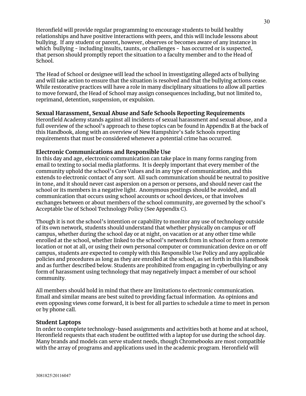Heronfield will provide regular programming to encourage students to build healthy relationships and have positive interactions with peers, and this will include lessons about bullying. If any student or parent, however, observes or becomes aware of any instance in which bullying - including insults, taunts, or challenges - has occurred or is suspected, that person should promptly report the situation to a faculty member and to the Head of School.

The Head of School or designee will lead the school in investigating alleged acts of bullying and will take action to ensure that the situation is resolved and that the bullying actions cease. While restorative practices will have a role in many disciplinary situations to allow all parties to move forward, the Head of School may assign consequences including, but not limited to, reprimand, detention, suspension, or expulsion.

## **Sexual Harassment, Sexual Abuse and Safe Schools Reporting Requirements**

Heronfield Academy stands against all incidents of sexual harassment and sexual abuse, and a full overview of the school's approach to these topics can be found in Appendix B at the back of this Handbook, along with an overview of New Hampshire's Safe Schools reporting requirements that must be considered whenever a potential crime has occurred.

#### **Electronic Communications and Responsible Use**

In this day and age, electronic communication can take place in many forms ranging from email to texting to social media platforms. It is deeply important that every member of the community uphold the school's Core Values and in any type of communication, and this extends to electronic contact of any sort. All such communication should be neutral to positive in tone, and it should never cast aspersion on a person or persons, and should never cast the school or its members in a negative light. Anonymous postings should be avoided, and all communication that occurs using school accounts or school devices, or that involves exchanges between or about members of the school community, are governed by the school's Acceptable Use of School Technology Policy (See Appendix C).

Though it is not the school's intention or capability to monitor any use of technology outside of its own network, students should understand that whether physically on campus or off campus, whether during the school day or at night, on vacation or at any other time while enrolled at the school, whether linked to the school's network from in school or from a remote location or not at all, or using their own personal computer or communication device on or off campus, students are expected to comply with this Responsible Use Policy and any applicable policies and procedures as long as they are enrolled at the school, as set forth in this Handbook and as further described below. Students are prohibited from engaging in cyberbullying or any form of harassment using technology that may negatively impact a member of our school community.

All members should hold in mind that there are limitations to electronic communication. Email and similar means are best suited to providing factual information. As opinions and even opposing views come forward, it is best for all parties to schedule a time to meet in person or by phone call.

#### **Student Laptops**

In order to complete technology-based assignments and activities both at home and at school, Heronfield requests that each student be outfitted with a laptop for use during the school day. Many brands and models can serve student needs, though Chromebooks are most compatible with the array of programs and applications used in the academic program. Heronfield will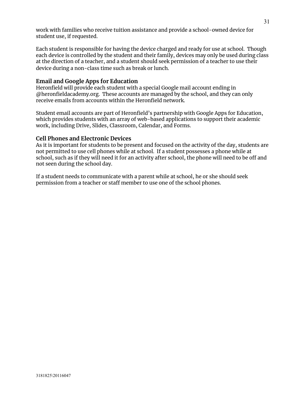work with families who receive tuition assistance and provide a school-owned device for student use, if requested.

Each student is responsible for having the device charged and ready for use at school. Though each device is controlled by the student and their family, devices may only be used during class at the direction of a teacher, and a student should seek permission of a teacher to use their device during a non-class time such as break or lunch.

#### **Email and Google Apps for Education**

Heronfield will provide each student with a special Google mail account ending in @heronfieldacademy.org. These accounts are managed by the school, and they can only receive emails from accounts within the Heronfield network.

Student email accounts are part of Heronfield's partnership with Google Apps for Education, which provides students with an array of web-based applications to support their academic work, including Drive, Slides, Classroom, Calendar, and Forms.

#### **Cell Phones and Electronic Devices**

As it is important for students to be present and focused on the activity of the day, students are not permitted to use cell phones while at school. If a student possesses a phone while at school, such as if they will need it for an activity after school, the phone will need to be off and not seen during the school day.

If a student needs to communicate with a parent while at school, he or she should seek permission from a teacher or staff member to use one of the school phones.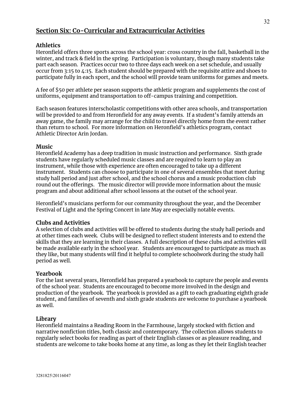## **Section Six: Co-Curricular and Extracurricular Activities**

## **Athletics**

Heronfield offers three sports across the school year: cross country in the fall, basketball in the winter, and track & field in the spring. Participation is voluntary, though many students take part each season. Practices occur two to three days each week on a set schedule, and usually occur from 3:15 to 4:15. Each student should be prepared with the requisite attire and shoes to participate fully in each sport, and the school will provide team uniforms for games and meets.

A fee of \$50 per athlete per season supports the athletic program and supplements the cost of uniforms, equipment and transportation to off-campus training and competition.

Each season features interscholastic competitions with other area schools, and transportation will be provided to and from Heronfield for any away events. If a student's family attends an away game, the family may arrange for the child to travel directly home from the event rather than return to school. For more information on Heronfield's athletics program, contact Athletic Director Arin Jordan.

#### **Music**

Heronfield Academy has a deep tradition in music instruction and performance. Sixth grade students have regularly scheduled music classes and are required to learn to play an instrument, while those with experience are often encouraged to take up a different instrument. Students can choose to participate in one of several ensembles that meet during study hall period and just after school, and the school chorus and a music production club round out the offerings. The music director will provide more information about the music program and about additional after school lessons at the outset of the school year.

Heronfield's musicians perform for our community throughout the year, and the December Festival of Light and the Spring Concert in late May are especially notable events.

#### **Clubs and Activities**

A selection of clubs and activities will be offered to students during the study hall periods and at other times each week. Clubs will be designed to reflect student interests and to extend the skills that they are learning in their classes. A full description of these clubs and activities will be made available early in the school year. Students are encouraged to participate as much as they like, but many students will find it helpful to complete schoolwork during the study hall period as well.

#### **Yearbook**

For the last several years, Heronfield has prepared a yearbook to capture the people and events of the school year. Students are encouraged to become more involved in the design and production of the yearbook. The yearbook is provided as a gift to each graduating eighth grade student, and families of seventh and sixth grade students are welcome to purchase a yearbook as well.

#### **Library**

Heronfield maintains a Reading Room in the Farmhouse, largely stocked with fiction and narrative nonfiction titles, both classic and contemporary. The collection allows students to regularly select books for reading as part of their English classes or as pleasure reading, and students are welcome to take books home at any time, as long as they let their English teacher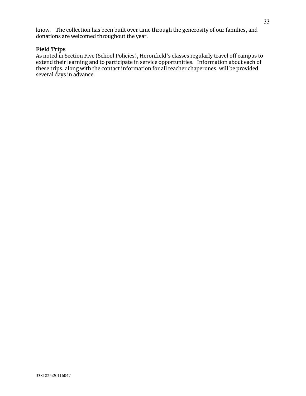know. The collection has been built over time through the generosity of our families, and donations are welcomed throughout the year.

#### **Field Trips**

As noted in Section Five (School Policies), Heronfield's classes regularly travel off campus to extend their learning and to participate in service opportunities. Information about each of these trips, along with the contact information for all teacher chaperones, will be provided several days in advance.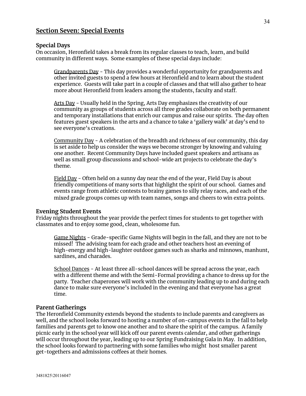## **Section Seven: Special Events**

#### **Special Days**

On occasion, Heronfield takes a break from its regular classes to teach, learn, and build community in different ways. Some examples of these special days include:

Grandparents Day - This day provides a wonderful opportunity for grandparents and other invited guests to spend a few hours at Heronfield and to learn about the student experience. Guests will take part in a couple of classes and that will also gather to hear more about Heronfield from leaders among the students, faculty and staff.

Arts Day - Usually held in the Spring, Arts Day emphasizes the creativity of our community as groups of students across all three grades collaborate on both permanent and temporary installations that enrich our campus and raise our spirits. The day often features guest speakers in the arts and a chance to take a 'gallery walk' at day's end to see everyone's creations.

Community Day - A celebration of the breadth and richness of our community, this day is set aside to help us consider the ways we become stronger by knowing and valuing one another. Recent Community Days have included guest speakers and artisans as well as small group discussions and school-wide art projects to celebrate the day's theme.

Field Day - Often held on a sunny day near the end of the year, Field Day is about friendly competitions of many sorts that highlight the spirit of our school. Games and events range from athletic contests to brainy games to silly relay races, and each of the mixed grade groups comes up with team names, songs and cheers to win extra points.

#### **Evening Student Events**

Friday nights throughout the year provide the perfect times for students to get together with classmates and to enjoy some good, clean, wholesome fun.

Game Nights - Grade-specific Game Nights will begin in the fall, and they are not to be missed! The advising team for each grade and other teachers host an evening of high-energy and high-laughter outdoor games such as sharks and minnows, manhunt, sardines, and charades.

School Dances - At least three all-school dances will be spread across the year, each with a different theme and with the Semi-Formal providing a chance to dress up for the party. Teacher chaperones will work with the community leading up to and during each dance to make sure everyone's included in the evening and that everyone has a great time.

#### **Parent Gatherings**

The Heronfield Community extends beyond the students to include parents and caregivers as well, and the school looks forward to hosting a number of on-campus events in the fall to help families and parents get to know one another and to share the spirit of the campus. A family picnic early in the school year will kick off our parent events calendar, and other gatherings will occur throughout the year, leading up to our Spring Fundraising Gala in May. In addition, the school looks forward to partnering with some families who might host smaller parent get-togethers and admissions coffees at their homes.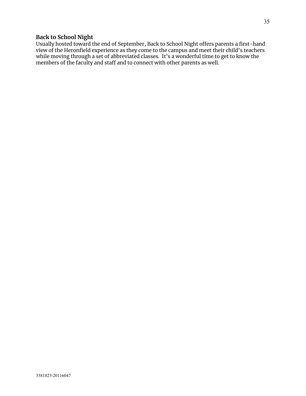## **Back to School Night**

Usually hosted toward the end of September, Back to School Night offers parents a first-hand view of the Heronfield experience as they come to the campus and meet their child's teachers while moving through a set of abbreviated classes. It's a wonderful time to get to know the members of the faculty and staff and to connect with other parents as well.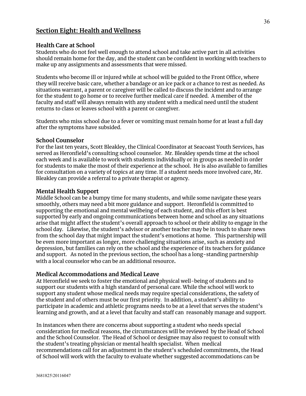## **Section Eight: Health and Wellness**

## **Health Care at School**

Students who do not feel well enough to attend school and take active part in all activities should remain home for the day, and the student can be confident in working with teachers to make up any assignments and assessments that were missed.

Students who become ill or injured while at school will be guided to the Front Office, where they will receive basic care, whether a bandage or an ice pack or a chance to rest as needed. As situations warrant, a parent or caregiver will be called to discuss the incident and to arrange for the student to go home or to receive further medical care if needed. A member of the faculty and staff will always remain with any student with a medical need until the student returns to class or leaves school with a parent or caregiver.

Students who miss school due to a fever or vomiting must remain home for at least a full day after the symptoms have subsided.

#### **School Counselor**

For the last ten years, Scott Bleakley, the Clinical Coordinator at Seacoast Youth Services, has served as Heronfield's consulting school counselor. Mr. Bleakley spends time at the school each week and is available to work with students individually or in groups as needed in order for students to make the most of their experience at the school. He is also available to families for consultation on a variety of topics at any time. If a student needs more involved care, Mr. Bleakley can provide a referral to a private therapist or agency.

## **Mental Health Support**

Middle School can be a bumpy time for many students, and while some navigate these years smoothly, others may need a bit more guidance and support. Heronfield is committed to supporting the emotional and mental wellbeing of each student, and this effort is best supported by early and ongoing communications between home and school as any situations arise that might affect the student's overall approach to school or their ability to engage in the school day. Likewise, the student's advisor or another teacher may be in touch to share news from the school day that might impact the student's emotions at home. This partnership will be even more important as longer, more challenging situations arise, such as anxiety and depression, but families can rely on the school and the experience of its teachers for guidance and support. As noted in the previous section, the school has a long-standing partnership with a local counselor who can be an additional resource**.**

## **Medical Accommodations and Medical Leave**

At Heronfield we seek to foster the emotional and physical well-being of students and to support our students with a high standard of personal care. While the school will work to support any student whose medical needs may require special considerations, the safety of the student and of others must be our first priority. In addition, a student's ability to participate in academic and athletic programs needs to be at a level that serves the student's learning and growth, and at a level that faculty and staff can reasonably manage and support.

In instances when there are concerns about supporting a student who needs special consideration for medical reasons, the circumstances will be reviewed by the Head of School and the School Counselor. The Head of School or designee may also request to consult with the student's treating physician or mental health specialist. When medical recommendations call for an adjustment in the student's scheduled commitments, the Head of School will work with the faculty to evaluate whether suggested accommodations can be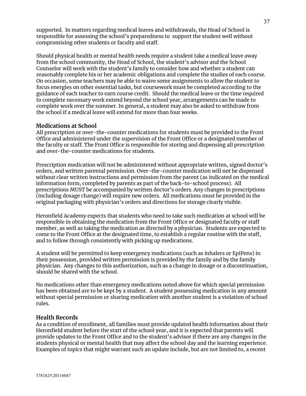supported. In matters regarding medical leaves and withdrawals, the Head of School is responsible for assessing the school's preparedness to support the student well without compromising other students or faculty and staff.

Should physical health or mental health needs require a student take a medical leave away from the school community, the Head of School, the student's advisor and the School Counselor will work with the student's family to consider how and whether a student can reasonably complete his or her academic obligations and complete the studies of each course. On occasion, some teachers may be able to waive some assignments to allow the student to focus energies on other essential tasks, but coursework must be completed according to the guidance of each teacher to earn course credit. Should the medical leave or the time required to complete necessary work extend beyond the school year, arrangements can be made to complete work over the summer. In general, a student may also be asked to withdraw from the school if a medical leave will extend for more than four weeks.

#### **Medications at School**

All prescription or over-the-counter medications for students must be provided to the Front Office and administered under the supervision of the Front Office or a designated member of the faculty or staff. The Front Office is responsible for storing and dispensing all prescription and over-the-counter medications for students.

Prescription medication will not be administered without appropriate written, signed doctor's orders, and written parental permission. Over-the-counter medication will not be dispensed without clear written instructions and permission from the parent (as indicated on the medical information form, completed by parents as part of the back-to-school process). All prescriptions MUST be accompanied by written doctor's orders. Any changes in prescriptions (including dosage change) will require new orders. All medications must be provided in the original packaging with physician's orders and directions for storage clearly visible.

Heronfield Academy expects that students who need to take such medication at school will be responsible in obtaining the medication from the Front Office or designated faculty or staff member, as well as taking the medication as directed by a physician. Students are expected to come to the Front Office at the designated time, to establish a regular routine with the staff, and to follow through consistently with picking up medications.

A student will be permitted to keep emergency medications (such as inhalers or EpiPens) in their possession, provided written permission is provided by the family and by the family physician. Any changes to this authorization, such as a change in dosage or a discontinuation, should be shared with the school.

No medications other than emergency medications noted above for which special permission has been obtained are to be kept by a student. A student possessing medication in any amount without special permission or sharing medication with another student is a violation of school rules.

#### **Health Records**

As a condition of enrollment, all families must provide updated health information about their Heronfield student before the start of the school year, and it is expected that parents will provide updates to the Front Office and to the student's advisor if there are any changes in the students physical or mental health that may affect the school day and the learning experience. Examples of topics that might warrant such an update include, but are not limited to, a recent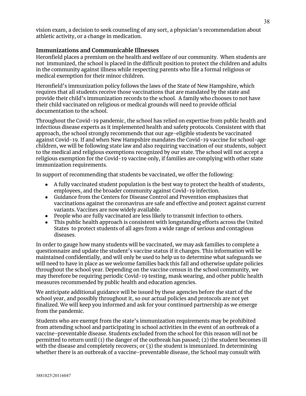vision exam, a decision to seek counseling of any sort, a physician's recommendation about athletic activity, or a change in medication.

#### **Immunizations and Communicable Illnesses**

Heronfield places a premium on the health and welfare of our community. When students are not immunized, the school is placed in the difficult position to protect the children and adults in the community against illness while respecting parents who file a formal religious or medical exemption for their minor children.

Heronfield's immunization policy follows the laws of the State of New Hampshire, which requires that all students receive those vaccinations that are mandated by the state and provide their child's immunization records to the school. A family who chooses to not have their child vaccinated on religious or medical grounds will need to provide official documentation to the school.

Throughout the Covid-19 pandemic, the school has relied on expertise from public health and infectious disease experts as it implemented health and safety protocols. Consistent with that approach, the school strongly recommends that our age-eligible students be vaccinated against Covid-19. If and when New Hampshire mandates the Covid-19 vaccine for school-age children, we will be following state law and also requiring vaccination of our students, subject to the medical and religious exemptions recognized by our state. The school will not accept a religious exemption for the Covid-19 vaccine only, if families are complying with other state immunization requirements.

In support of recommending that students be vaccinated, we offer the following:

- A fully vaccinated student population is the best way to protect the health of students, employees, and the broader community against Covid-19 infection.
- Guidance from the Centers for Disease Control and Prevention emphasizes that vaccinations against the coronavirus are safe and effective and protect against current variants. Vaccines are now widely available.
- People who are fully vaccinated are less likely to transmit infection to others.
- This public health approach is consistent with longstanding efforts across the United States to protect students of all ages from a wide range of serious and contagious diseases.

In order to gauge how many students will be vaccinated, we may ask families to complete a questionnaire and update the student's vaccine status if it changes. This information will be maintained confidentially, and will only be used to help us to determine what safeguards we will need to have in place as we welcome families back this fall and otherwise update policies throughout the school year. Depending on the vaccine census in the school community, we may therefore be requiring periodic Covid-19 testing, mask wearing, and other public health measures recommended by public health and education agencies.

We anticipate additional guidance will be issued by these agencies before the start of the school year, and possibly throughout it, so our actual policies and protocols are not yet finalized. We will keep you informed and ask for your continued partnership as we emerge from the pandemic.

Students who are exempt from the state's immunization requirements may be prohibited from attending school and participating in school activities in the event of an outbreak of a vaccine-preventable disease. Students excluded from the school for this reason will not be permitted to return until (1) the danger of the outbreak has passed; (2) the student becomes ill with the disease and completely recovers; or (3) the student is immunized. In determining whether there is an outbreak of a vaccine-preventable disease, the School may consult with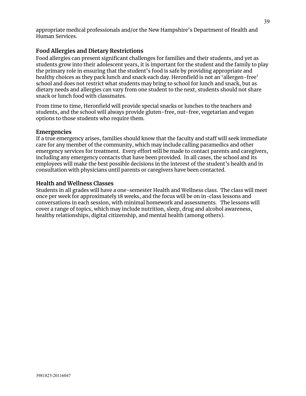appropriate medical professionals and/or the New Hampshire's Department of Health and Human Services.

## **Food Allergies and Dietary Restrictions**

Food allergies can present significant challenges for families and their students, and yet as students grow into their adolescent years, it is important for the student and the family to play the primary role in ensuring that the student's food is safe by providing appropriate and healthy choices as they pack lunch and snack each day. Heronfield is not an 'allergen-free' school and does not restrict what students may bring to school for lunch and snack, but as dietary needs and allergies can vary from one student to the next, students should not share snack or lunch food with classmates.

From time to time, Heronfield will provide special snacks or lunches to the teachers and students, and the school will always provide gluten-free, nut-free, vegetarian and vegan options to those students who require them.

#### **Emergencies**

If a true emergency arises, families should know that the faculty and staff will seek immediate care for any member of the community, which may include calling paramedics and other emergency services for treatment. Every effort will be made to contact parents and caregivers, including any emergency contacts that have been provided. In all cases, the school and its employees will make the best possible decisions in the interest of the student's health and in consultation with physicians until parents or caregivers have been contacted.

## **Health and Wellness Classes**

Students in all grades will have a one-semester Health and Wellness class. The class will meet once per week for approximately 18 weeks, and the focus will be on in-class lessons and conversations in each session, with minimal homework and assessments. The lessons will cover a range of topics, which may include nutrition, sleep, drug and alcohol awareness, healthy relationships, digital citizenship, and mental health (among others).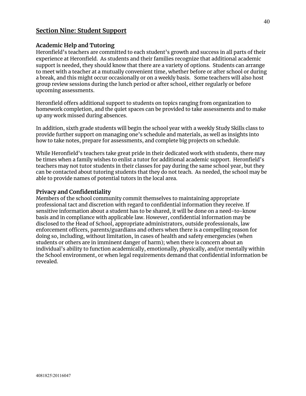## **Section Nine: Student Support**

#### **Academic Help and Tutoring**

Heronfield's teachers are committed to each student's growth and success in all parts of their experience at Heronfield. As students and their families recognize that additional academic support is needed, they should know that there are a variety of options. Students can arrange to meet with a teacher at a mutually convenient time, whether before or after school or during a break, and this might occur occasionally or on a weekly basis. Some teachers will also host group review sessions during the lunch period or after school, either regularly or before upcoming assessments.

Heronfield offers additional support to students on topics ranging from organization to homework completion, and the quiet spaces can be provided to take assessments and to make up any work missed during absences.

In addition, sixth grade students will begin the school year with a weekly Study Skills class to provide further support on managing one's schedule and materials, as well as insights into how to take notes, prepare for assessments, and complete big projects on schedule.

While Heronfield's teachers take great pride in their dedicated work with students, there may be times when a family wishes to enlist a tutor for additional academic support. Heronfield's teachers may not tutor students in their classes for pay during the same school year, but they can be contacted about tutoring students that they do not teach. As needed, the school may be able to provide names of potential tutors in the local area.

#### **Privacy and Confidentiality**

Members of the school community commit themselves to maintaining appropriate professional tact and discretion with regard to confidential information they receive. If sensitive information about a student has to be shared, it will be done on a need-to-know basis and in compliance with applicable law. However, confidential information may be disclosed to the Head of School, appropriate administrators, outside professionals, law enforcement officers, parents/guardians and others when there is a compelling reason for doing so, including, without limitation, in cases of health and safety emergencies (when students or others are in imminent danger of harm); when there is concern about an individual's ability to function academically, emotionally, physically, and/or mentally within the School environment, or when legal requirements demand that confidential information be revealed.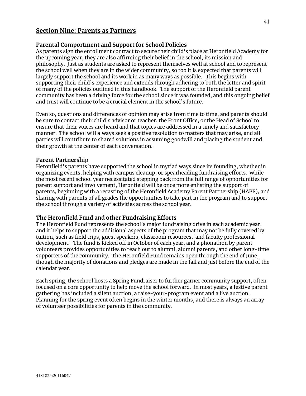## **Section Nine: Parents as Partners**

#### **Parental Comportment and Support for School Policies**

As parents sign the enrollment contract to secure their child's place at Heronfield Academy for the upcoming year, they are also affirming their belief in the school, its mission and philosophy. Just as students are asked to represent themselves well at school and to represent the school well when they are in the wider community, so too it is expected that parents will largely support the school and its work in as many ways as possible. This begins with supporting their child's experience and extends through adhering to both the letter and spirit of many of the policies outlined in this handbook. The support of the Heronfield parent community has been a driving force for the school since it was founded, and this ongoing belief and trust will continue to be a crucial element in the school's future.

Even so, questions and differences of opinion may arise from time to time, and parents should be sure to contact their child's advisor or teacher, the Front Office, or the Head of School to ensure that their voices are heard and that topics are addressed in a timely and satisfactory manner. The school will always seek a positive resolution to matters that may arise, and all parties will contribute to shared solutions in assuming goodwill and placing the student and their growth at the center of each conversation.

#### **Parent Partnership**

Heronfield's parents have supported the school in myriad ways since its founding, whether in organizing events, helping with campus cleanup, or spearheading fundraising efforts. While the most recent school year necessitated stepping back from the full range of opportunities for parent support and involvement, Heronfield will be once more enlisting the support of parents, beginning with a recasting of the Heronfield Academy Parent Partnership (HAPP), and sharing with parents of all grades the opportunities to take part in the program and to support the school through a variety of activities across the school year.

#### **The Heronfield Fund and other Fundraising Efforts**

The Heronfield Fund represents the school's major fundraising drive in each academic year, and it helps to support the additional aspects of the program that may not be fully covered by tuition, such as field trips, guest speakers, classroom resources, and faculty professional development. The fund is kicked off in October of each year, and a phonathon by parent volunteers provides opportunities to reach out to alumni, alumni parents, and other long-time supporters of the community. The Heronfield Fund remains open through the end of June, though the majority of donations and pledges are made in the fall and just before the end of the calendar year.

Each spring, the school hosts a Spring Fundraiser to further garner community support, often focused on a core opportunity to help move the school forward. In most years, a festive parent gathering has included a silent auction, a raise-your-program event and a live auction. Planning for the spring event often begins in the winter months, and there is always an array of volunteer possibilities for parents in the community.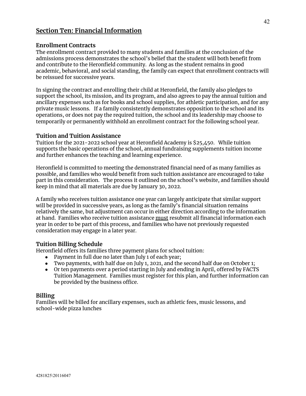## **Section Ten: Financial Information**

#### **Enrollment Contracts**

The enrollment contract provided to many students and families at the conclusion of the admissions process demonstrates the school's belief that the student will both benefit from and contribute to the Heronfield community. As long as the student remains in good academic, behavioral, and social standing, the family can expect that enrollment contracts will be reissued for successive years.

In signing the contract and enrolling their child at Heronfield, the family also pledges to support the school, its mission, and its program, and also agrees to pay the annual tuition and ancillary expenses such as for books and school supplies, for athletic participation, and for any private music lessons. If a family consistently demonstrates opposition to the school and its operations, or does not pay the required tuition, the school and its leadership may choose to temporarily or permanently withhold an enrollment contract for the following school year.

#### **Tuition and Tuition Assistance**

Tuition for the 2021-2022 school year at Heronfield Academy is \$25,450. While tuition supports the basic operations of the school, annual fundraising supplements tuition income and further enhances the teaching and learning experience.

Heronfield is committed to meeting the demonstrated financial need of as many families as possible, and families who would benefit from such tuition assistance are encouraged to take part in this consideration. The process it outlined on the school's website, and families should keep in mind that all materials are due by January 30, 2022.

A family who receives tuition assistance one year can largely anticipate that similar support will be provided in successive years, as long as the family's financial situation remains relatively the same, but adjustment can occur in either direction according to the information at hand. Families who receive tuition assistance must resubmit all financial information each year in order to be part of this process, and families who have not previously requested consideration may engage in a later year.

#### **Tuition Billing Schedule**

Heronfield offers its families three payment plans for school tuition:

- Payment in full due no later than July 1 of each year;
- Two payments, with half due on July 1, 2021, and the second half due on October 1;
- Or ten payments over a period starting in July and ending in April, offered by FACTS Tuition Management. Families must register for this plan, and further information can be provided by the business office.

#### **Billing**

Families will be billed for ancillary expenses, such as athletic fees, music lessons, and school-wide pizza lunches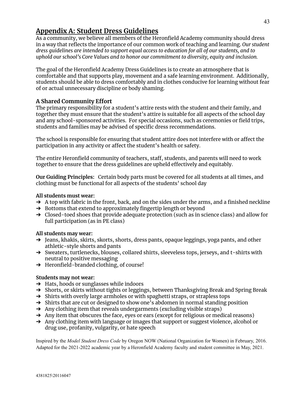# **Appendix A: Student Dress Guidelines**

As a community, we believe all members of the Heronfield Academy community should dress in a way that reflects the importance of our common work of teaching and learning. *Our student dress guidelines are intended to support equal access to education for all of our students, and to uphold our school's Core Values and to honor our commitment to diversity, equity and inclusion.*

The goal of the Heronfield Academy Dress Guidelines is to create an atmosphere that is comfortable and that supports play, movement and a safe learning environment. Additionally, students should be able to dress comfortably and in clothes conducive for learning without fear of or actual unnecessary discipline or body shaming.

## **A Shared Community Effort**

The primary responsibility for a student's attire rests with the student and their family, and together they must ensure that the student's attire is suitable for all aspects of the school day and any school-sponsored activities. For special occasions, such as ceremonies or field trips, students and families may be advised of specific dress recommendations.

The school is responsible for ensuring that student attire does not interfere with or affect the participation in any activity or affect the student's health or safety.

The entire Heronfield community of teachers, staff, students, and parents will need to work together to ensure that the dress guidelines are upheld effectively and equitably.

**Our Guiding Principles:** Certain body parts must be covered for all students at all times, and clothing must be functional for all aspects of the students' school day

#### **All students must wear:**

- $\rightarrow$  A top with fabric in the front, back, and on the sides under the arms, and a finished neckline
- → Bottoms that extend to approximately fingertip length or beyond
- → Closed-toed shoes that provide adequate protection (such as in science class) and allow for full participation (as in PE class)

#### **All students may wear:**

- → Jeans, khakis, skirts, skorts, shorts, dress pants, opaque leggings, yoga pants, and other athletic-style shorts and pants
- → Sweaters, turtlenecks, blouses, collared shirts, sleeveless tops, jerseys, and t-shirts with neutral to positive messaging
- ➔ Heronfield-branded clothing, of course!

#### **Students may not wear:**

- $\rightarrow$  Hats, hoods or sunglasses while indoors
- → Shorts, or skirts without tights or leggings, between Thanksgiving Break and Spring Break
- → Shirts with overly large armholes or with spaghetti straps, or strapless tops
- ➔ Shirts that are cut or designed to show one's abdomen in normal standing position
- $\rightarrow$  Any clothing item that reveals undergarments (excluding visible straps)
- $\rightarrow$  Any item that obscures the face, eyes or ears (except for religious or medical reasons)
- → Any clothing item with language or images that support or suggest violence, alcohol or drug use, profanity, vulgarity, or hate speech

Inspired by the *Model Student Dress Code* by Oregon NOW (National Organization for Women) in February, 2016. Adapted for the 2021-2022 academic year by a Heronfield Academy faculty and student committee in May, 2021.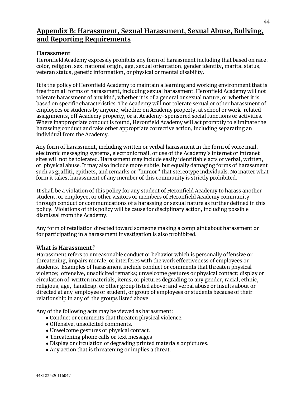## **Appendix B: Harassment, Sexual Harassment, Sexual Abuse, Bullying, and Reporting Requirements**

## **Harassment**

Heronfield Academy expressly prohibits any form of harassment including that based on race, color, religion, sex, national origin, age, sexual orientation, gender identity, marital status, veteran status, genetic information, or physical or mental disability.

It is the policy of Heronfield Academy to maintain a learning and working environment that is free from all forms of harassment, including sexual harassment. Heronfield Academy will not tolerate harassment of any kind, whether it is of a general or sexual nature, or whether it is based on specific characteristics. The Academy will not tolerate sexual or other harassment of employees or students by anyone, whether on Academy property, at school or work-related assignments, off Academy property, or at Academy-sponsored social functions or activities. Where inappropriate conduct is found, Heronfield Academy will act promptly to eliminate the harassing conduct and take other appropriate corrective action, including separating an individual from the Academy.

Any form of harassment, including written or verbal harassment in the form of voice mail, electronic messaging systems, electronic mail, or use of the Academy's internet or intranet sites will not be tolerated. Harassment may include easily identifiable acts of verbal, written, or physical abuse. It may also include more subtle, but equally damaging forms of harassment such as graffiti, epithets, and remarks or "humor" that stereotype individuals. No matter what form it takes, harassment of any member of this community is strictly prohibited.

It shall be a violation of this policy for any student of Heronfield Academy to harass another student, or employee, or other visitors or members of Heronfield Academy community through conduct or communications of a harassing or sexual nature as further defined in this policy. Violations of this policy will be cause for disciplinary action, including possible dismissal from the Academy.

Any form of retaliation directed toward someone making a complaint about harassment or for participating in a harassment investigation is also prohibited.

#### **What is Harassment?**

Harassment refers to unreasonable conduct or behavior which is personally offensive or threatening, impairs morale, or interferes with the work effectiveness of employees or students. Examples of harassment include conduct or comments that threaten physical violence; offensive, unsolicited remarks; unwelcome gestures or physical contact; display or circulation of written materials, items, or pictures degrading to any gender, racial, ethnic, religious, age, handicap, or other group listed above; and verbal abuse or insults about or directed at any employee or student, or group of employees or students because of their relationship in any of the groups listed above.

Any of the following acts may be viewed as harassment:

- Conduct or comments that threaten physical violence.
- Offensive, unsolicited comments.
- Unwelcome gestures or physical contact.
- Threatening phone calls or text messages
- Display or circulation of degrading printed materials or pictures.
- Any action that is threatening or implies a threat.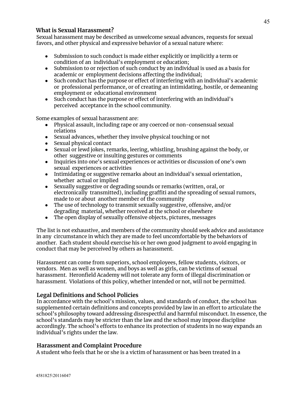## **What is Sexual Harassment?**

Sexual harassment may be described as unwelcome sexual advances, requests for sexual favors, and other physical and expressive behavior of a sexual nature where:

- Submission to such conduct is made either explicitly or implicitly a term or condition of an individual's employment or education;
- Submission to or rejection of such conduct by an individual is used as a basis for academic or employment decisions affecting the individual;
- Such conduct has the purpose or effect of interfering with an individual's academic or professional performance, or of creating an intimidating, hostile, or demeaning employment or educational environment
- Such conduct has the purpose or effect of interfering with an individual's perceived acceptance in the school community.

Some examples of sexual harassment are:

- Physical assault, including rape or any coerced or non-consensual sexual relations
- Sexual advances, whether they involve physical touching or not
- Sexual physical contact
- Sexual or lewd jokes, remarks, leering, whistling, brushing against the body, or other suggestive or insulting gestures or comments
- Inquiries into one's sexual experiences or activities or discussion of one's own sexual experiences or activities
- Intimidating or suggestive remarks about an individual's sexual orientation, whether actual or implied
- Sexually suggestive or degrading sounds or remarks (written, oral, or electronically transmitted), including graffiti and the spreading of sexual rumors, made to or about another member of the community
- The use of technology to transmit sexually suggestive, offensive, and/or degrading material, whether received at the school or elsewhere
- The open display of sexually offensive objects, pictures, messages

The list is not exhaustive, and members of the community should seek advice and assistance in any circumstance in which they are made to feel uncomfortable by the behaviors of another. Each student should exercise his or her own good judgment to avoid engaging in conduct that may be perceived by others as harassment.

Harassment can come from superiors, school employees, fellow students, visitors, or vendors. Men as well as women, and boys as well as girls, can be victims of sexual harassment. Heronfield Academy will not tolerate any form of illegal discrimination or harassment. Violations of this policy, whether intended or not, will not be permitted.

## **Legal Definitions and School Policies**

In accordance with the school's mission, values, and standards of conduct, the school has supplemented certain definitions and concepts provided by law in an effort to articulate the school's philosophy toward addressing disrespectful and harmful misconduct. In essence, the school's standards may be stricter than the law and the school may impose discipline accordingly. The school's efforts to enhance its protection of students in no way expands an individual's rights under the law.

## **Harassment and Complaint Procedure**

A student who feels that he or she is a victim of harassment or has been treated in a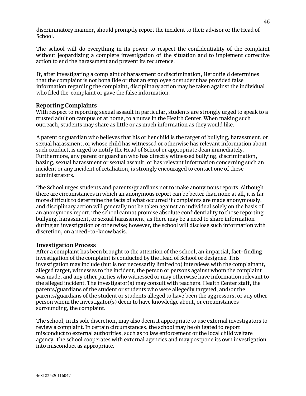discriminatory manner, should promptly report the incident to their advisor or the Head of School.

The school will do everything in its power to respect the confidentiality of the complaint without jeopardizing a complete investigation of the situation and to implement corrective action to end the harassment and prevent its recurrence.

If, after investigating a complaint of harassment or discrimination, Heronfield determines that the complaint is not bona fide or that an employee or student has provided false information regarding the complaint, disciplinary action may be taken against the individual who filed the complaint or gave the false information.

#### **Reporting Complaints**

With respect to reporting sexual assault in particular, students are strongly urged to speak to a trusted adult on campus or at home, to a nurse in the Health Center. When making such outreach, students may share as little or as much information as they would like.

A parent or guardian who believes that his or her child is the target of bullying, harassment, or sexual harassment, or whose child has witnessed or otherwise has relevant information about such conduct, is urged to notify the Head of School or appropriate dean immediately. Furthermore, any parent or guardian who has directly witnessed bullying, discrimination, hazing, sexual harassment or sexual assault, or has relevant information concerning such an incident or any incident of retaliation, is strongly encouraged to contact one of these administrators.

The School urges students and parents/guardians not to make anonymous reports. Although there are circumstances in which an anonymous report can be better than none at all, it is far more difficult to determine the facts of what occurred if complaints are made anonymously, and disciplinary action will generally not be taken against an individual solely on the basis of an anonymous report. The school cannot promise absolute confidentiality to those reporting bullying, harassment, or sexual harassment, as there may be a need to share information during an investigation or otherwise; however, the school will disclose such information with discretion, on a need-to-know basis.

#### **Investigation Process**

After a complaint has been brought to the attention of the school, an impartial, fact-finding investigation of the complaint is conducted by the Head of School or designee. This investigation may include (but is not necessarily limited to) interviews with the complainant, alleged target, witnesses to the incident, the person or persons against whom the complaint was made, and any other parties who witnessed or may otherwise have information relevant to the alleged incident. The investigator(s) may consult with teachers, Health Center staff, the parents/guardians of the student or students who were allegedly targeted, and/or the parents/guardians of the student or students alleged to have been the aggressors, or any other person whom the investigator(s) deem to have knowledge about, or circumstances surrounding, the complaint.

The school, in its sole discretion, may also deem it appropriate to use external investigators to review a complaint. In certain circumstances, the school may be obligated to report misconduct to external authorities, such as to law enforcement or the local child welfare agency. The school cooperates with external agencies and may postpone its own investigation into misconduct as appropriate.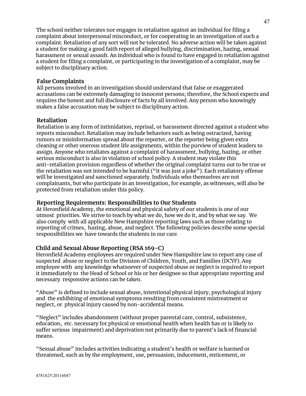The school neither tolerates nor engages in retaliation against an individual for filing a complaint about interpersonal misconduct, or for cooperating in an investigation of such a complaint. Retaliation of any sort will not be tolerated. No adverse action will be taken against a student for making a good faith report of alleged bullying, discrimination, hazing, sexual harassment or sexual assault. An individual who is found to have engaged in retaliation against a student for filing a complaint, or participating in the investigation of a complaint, may be subject to disciplinary action.

## **False Complaints**

All persons involved in an investigation should understand that false or exaggerated accusations can be extremely damaging to innocent persons; therefore, the School expects and requires the honest and full disclosure of facts by all involved. Any person who knowingly makes a false accusation may be subject to disciplinary action.

## **Retaliation**

Retaliation is any form of intimidation, reprisal, or harassment directed against a student who reports misconduct. Retaliation may include behaviors such as being ostracized, having rumors or misinformation spread about the reporter, or the reporter being given extra cleaning or other onerous student life assignments, within the purview of student leaders to assign. Anyone who retaliates against a complaint of harassment, bullying, hazing, or other serious misconduct is also in violation of school policy. A student may violate this anti-retaliation provision regardless of whether the original complaint turns out to be true or the retaliation was not intended to be harmful ("it was just a joke"). Each retaliatory offense will be investigated and sanctioned separately. Individuals who themselves are not complainants, but who participate in an investigation, for example, as witnesses, will also be protected from retaliation under this policy.

#### **Reporting Requirements: Responsibilities to Our Students**

At Heronfield Academy, the emotional and physical safety of our students is one of our utmost priorities. We strive to teach by what we do, how we do it, and by what we say. We also comply with all applicable New Hampshire reporting laws such as those relating to reporting of crimes, hazing, abuse, and neglect. The following policies describe some special responsibilities we have towards the students in our care.

## **Child and Sexual Abuse Reporting (RSA 169-C)**

Heronfield Academy employees are required under New Hampshire law to report any case of suspected abuse or neglect to the Division of Children, Youth, and Families (DCYF). Any employee with any knowledge whatsoever of suspected abuse or neglect is required to report it immediately to the Head of School or his or her designee so that appropriate reporting and necessary responsive actions can be taken.

"Abuse" is defined to include sexual abuse, intentional physical injury, psychological injury and the exhibiting of emotional symptoms resulting from consistent mistreatment or neglect, or physical injury caused by non-accidental means.

"Neglect" includes abandonment (without proper parental care, control, subsistence, education, etc. necessary for physical or emotional health when health has or is likely to suffer serious impairment) and deprivation not primarily due to parent's lack of financial means.

"Sexual abuse" includes activities indicating a student's health or welfare is harmed or threatened, such as by the employment, use, persuasion, inducement, enticement, or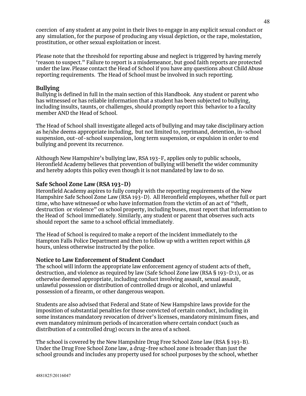coercion of any student at any point in their lives to engage in any explicit sexual conduct or any simulation, for the purpose of producing any visual depiction, or the rape, molestation, prostitution, or other sexual exploitation or incest.

Please note that the threshold for reporting abuse and neglect is triggered by having merely 'reason to suspect." Failure to report is a misdemeanor, but good faith reports are protected under the law. Please contact the Head of School if you have any questions about Child Abuse reporting requirements. The Head of School must be involved in such reporting.

#### **Bullying**

Bullying is defined in full in the main section of this Handbook. Any student or parent who has witnessed or has reliable information that a student has been subjected to bullying, including insults, taunts, or challenges, should promptly report this behavior to a faculty member AND the Head of School.

The Head of School shall investigate alleged acts of bullying and may take disciplinary action as he/she deems appropriate including, but not limited to, reprimand, detention, in-school suspension, out-of-school suspension, long term suspension, or expulsion in order to end bullying and prevent its recurrence.

Although New Hampshire's bullying law, RSA 193-F, applies only to public schools, Heronfield Academy believes that prevention of bullying will benefit the wider community and hereby adopts this policy even though it is not mandated by law to do so.

#### **Safe School Zone Law (RSA 193-D)**

Heronfield Academy aspires to fully comply with the reporting requirements of the New Hampshire Safe School Zone Law (RSA 193-D). All Heronfield employees, whether full or part time, who have witnessed or who have information from the victim of an act of "theft, destruction or violence" on school property, including buses, must report that information to the Head of School immediately. Similarly, any student or parent that observes such acts should report the same to a school official immediately.

The Head of School is required to make a report of the incident immediately to the Hampton Falls Police Department and then to follow up with a written report within 48 hours, unless otherwise instructed by the police.

#### **Notice to Law Enforcement of Student Conduct**

The school will inform the appropriate law enforcement agency of student acts of theft, destruction, and violence as required by law (Safe School Zone law (RSA § 193-D:1), or as otherwise deemed appropriate, including conduct involving assault, sexual assault, unlawful possession or distribution of controlled drugs or alcohol, and unlawful possession of a firearm, or other dangerous weapon.

Students are also advised that Federal and State of New Hampshire laws provide for the imposition of substantial penalties for those convicted of certain conduct, including in some instances mandatory revocation of driver's licenses, mandatory minimum fines, and even mandatory minimum periods of incarceration where certain conduct (such as distribution of a controlled drug) occurs in the area of a school.

The school is covered by the New Hampshire Drug Free School Zone law (RSA § 193-B). Under the Drug Free School Zone law, a drug-free school zone is broader than just the school grounds and includes any property used for school purposes by the school, whether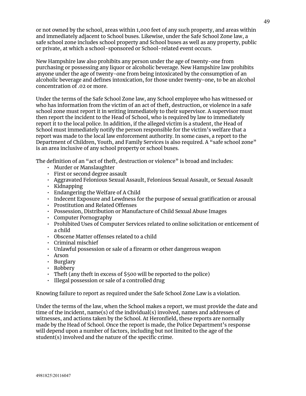or not owned by the school, areas within 1,000 feet of any such property, and areas within and immediately adjacent to School buses. Likewise, under the Safe School Zone law, a safe school zone includes school property and School buses as well as any property, public or private, at which a school-sponsored or School-related event occurs.

New Hampshire law also prohibits any person under the age of twenty-one from purchasing or possessing any liquor or alcoholic beverage. New Hampshire law prohibits anyone under the age of twenty-one from being intoxicated by the consumption of an alcoholic beverage and defines intoxication, for those under twenty-one, to be an alcohol concentration of .02 or more.

Under the terms of the Safe School Zone law, any School employee who has witnessed or who has information from the victim of an act of theft, destruction, or violence in a safe school zone must report it in writing immediately to their supervisor. A supervisor must then report the incident to the Head of School, who is required by law to immediately report it to the local police. In addition, if the alleged victim is a student, the Head of School must immediately notify the person responsible for the victim's welfare that a report was made to the local law enforcement authority. In some cases, a report to the Department of Children, Youth, and Family Services is also required. A "safe school zone" is an area inclusive of any school property or school buses.

The definition of an "act of theft, destruction or violence" is broad and includes:

- Murder or Manslaughter
- First or second degree assault
- Aggravated Felonious Sexual Assault, Felonious Sexual Assault, or Sexual Assault
- Kidnapping
- Endangering the Welfare of A Child
- Indecent Exposure and Lewdness for the purpose of sexual gratification or arousal
- Prostitution and Related Offenses
- Possession, Distribution or Manufacture of Child Sexual Abuse Images
- Computer Pornography
- Prohibited Uses of Computer Services related to online solicitation or enticement of a child
- Obscene Matter offenses related to a child
- Criminal mischief
- Unlawful possession or sale of a firearm or other dangerous weapon
- Arson
- Burglary
- Robbery
- Theft (any theft in excess of \$500 will be reported to the police)
- Illegal possession or sale of a controlled drug

Knowing failure to report as required under the Safe School Zone Law is a violation.

Under the terms of the law, when the School makes a report, we must provide the date and time of the incident, name(s) of the individual(s) involved, names and addresses of witnesses, and actions taken by the School. At Heronfield, these reports are normally made by the Head of School. Once the report is made, the Police Department's response will depend upon a number of factors, including but not limited to the age of the student(s) involved and the nature of the specific crime.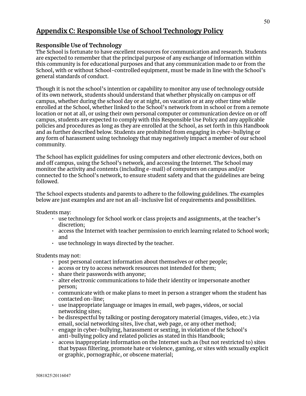# **Appendix C: Responsible Use of School Technology Policy**

## **Responsible Use of Technology**

The School is fortunate to have excellent resources for communication and research. Students are expected to remember that the principal purpose of any exchange of information within this community is for educational purposes and that any communication made to or from the School, with or without School-controlled equipment, must be made in line with the School's general standards of conduct.

Though it is not the school's intention or capability to monitor any use of technology outside of its own network, students should understand that whether physically on campus or off campus, whether during the school day or at night, on vacation or at any other time while enrolled at the School, whether linked to the School's network from in school or from a remote location or not at all, or using their own personal computer or communication device on or off campus, students are expected to comply with this Responsible Use Policy and any applicable policies and procedures as long as they are enrolled at the School, as set forth in this Handbook and as further described below. Students are prohibited from engaging in cyber-bullying or any form of harassment using technology that may negatively impact a member of our school community.

The School has explicit guidelines for using computers and other electronic devices, both on and off campus, using the School's network, and accessing the Internet. The School may monitor the activity and contents (including e-mail) of computers on campus and/or connected to the School's network, to ensure student safety and that the guidelines are being followed.

The School expects students and parents to adhere to the following guidelines. The examples below are just examples and are not an all-inclusive list of requirements and possibilities.

Students may:

- use technology for School work or class projects and assignments, at the teacher's discretion;
- access the Internet with teacher permission to enrich learning related to School work; and
- use technology in ways directed by the teacher.

Students may not:

- post personal contact information about themselves or other people;
- access or try to access network resources not intended for them;
- share their passwords with anyone;
- alter electronic communications to hide their identity or impersonate another person;
- communicate with or make plans to meet in person a stranger whom the student has contacted on-line;
- use inappropriate language or images in email, web pages, videos, or social networking sites;
- be disrespectful by talking or posting derogatory material (images, video, etc.) via email, social networking sites, live chat, web page, or any other method;
- engage in cyber-bullying, harassment or sexting, in violation of the School's anti-bullying policy and related policies as stated in this Handbook;
- access inappropriate information on the Internet such as (but not restricted to) sites that bypass filtering, promote hate or violence, gaming, or sites with sexually explicit or graphic, pornographic, or obscene material;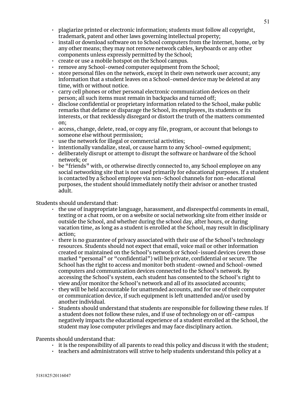- plagiarize printed or electronic information; students must follow all copyright, trademark, patent and other laws governing intellectual property;
- install or download software on to School computers from the Internet, home, or by any other means; they may not remove network cables, keyboards or any other components unless expressly permitted by the School;
- create or use a mobile hotspot on the School campus.
- remove any School-owned computer equipment from the School;
- store personal files on the network, except in their own network user account; any information that a student leaves on a School-owned device may be deleted at any time, with or without notice.
- carry cell phones or other personal electronic communication devices on their person; all such items must remain in backpacks and turned off;
- disclose confidential or proprietary information related to the School, make public remarks that defame or disparage the School, its employees, its students or its interests, or that recklessly disregard or distort the truth of the matters commented on;
- access, change, delete, read, or copy any file, program, or account that belongs to someone else without permission;
- use the network for illegal or commercial activities;
- intentionally vandalize, steal, or cause harm to any School-owned equipment;
- deliberately disrupt or attempt to disrupt the software or hardware of the School network; or
- $\cdot$  be "friends" with, or otherwise directly connected to, any School employee on any social networking site that is not used primarily for educational purposes. If a student is contacted by a School employee via non-School channels for non-educational purposes, the student should immediately notify their advisor or another trusted adult.

#### Students should understand that:

- the use of inappropriate language, harassment, and disrespectful comments in email, texting or a chat room, or on a website or social networking site from either inside or outside the School, and whether during the school day, after hours, or during vacation time, as long as a student is enrolled at the School, may result in disciplinary action;
- there is no guarantee of privacy associated with their use of the School's technology resources. Students should not expect that email, voice mail or other information created or maintained on the School's network or School-issued devices (even those marked "personal" or "confidential") will be private, confidential or secure. The School has the right to access and monitor both student-owned and School-owned computers and communication devices connected to the School's network. By accessing the School's system, each student has consented to the School's right to view and/or monitor the School's network and all of its associated accounts;
- they will be held accountable for unattended accounts, and for use of their computer or communication device, if such equipment is left unattended and/or used by another individual.
- Students should understand that students are responsible for following these rules. If a student does not follow these rules, and if use of technology on or off-campus negatively impacts the educational experience of a student enrolled at the School, the student may lose computer privileges and may face disciplinary action.

Parents should understand that:

- $\cdot$  it is the responsibility of all parents to read this policy and discuss it with the student;
- teachers and administrators will strive to help students understand this policy at a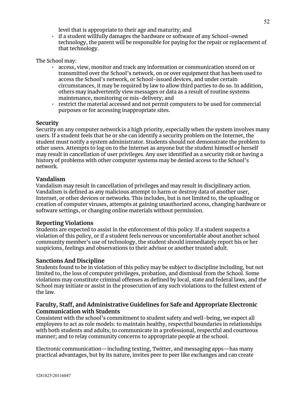level that is appropriate to their age and maturity; and

• if a student willfully damages the hardware or software of any School-owned technology, the parent will be responsible for paying for the repair or replacement of that technology.

The School may:

- access, view, monitor and track any information or communication stored on or transmitted over the School's network, on or over equipment that has been used to access the School's network, or School-issued devices, and under certain circumstances, it may be required by law to allow third parties to do so. In addition, others may inadvertently view messages or data as a result of routine systems maintenance, monitoring or mis-delivery; and
- restrict the material accessed and not permit computers to be used for commercial purposes or for accessing inappropriate sites.

#### **Security**

Security on any computer network is a high priority, especially when the system involves many users. If a student feels that he or she can identify a security problem on the Internet, the student must notify a system administrator. Students should not demonstrate the problem to other users. Attempts to log on to the Internet as anyone but the student himself or herself may result in cancellation of user privileges. Any user identified as a security risk or having a history of problems with other computer systems may be denied access to the School's network.

#### **Vandalism**

Vandalism may result in cancellation of privileges and may result in disciplinary action. Vandalism is defined as any malicious attempt to harm or destroy data of another user, Internet, or other devices or networks. This includes, but is not limited to, the uploading or creation of computer viruses, attempts at gaining unauthorized access, changing hardware or software settings, or changing online materials without permission.

#### **Reporting Violations**

Students are expected to assist in the enforcement of this policy. If a student suspects a violation of this policy, or if a student feels nervous or uncomfortable about another school community member's use of technology, the student should immediately report his or her suspicions, feelings and observations to their advisor or another trusted adult.

#### **Sanctions And Discipline**

Students found to be in violation of this policy may be subject to discipline including, but not limited to, the loss of computer privileges, probation, and dismissal from the School. Some violations may constitute criminal offenses as defined by local, state and federal laws, and the School may initiate or assist in the prosecution of any such violations to the fullest extent of the law.

#### **Faculty, Staff, and Administrative Guidelines for Safe and Appropriate Electronic Communication with Students**

Consistent with the school's commitment to student safety and well-being, we expect all employees to act as role models: to maintain healthy, respectful boundaries in relationships with both students and adults; to communicate in a professional, respectful and courteous manner; and to relay community concerns to appropriate people at the school.

Electronic communication—including texting, Twitter, and messaging apps—has many practical advantages, but by its nature, invites peer to peer like exchanges and can create